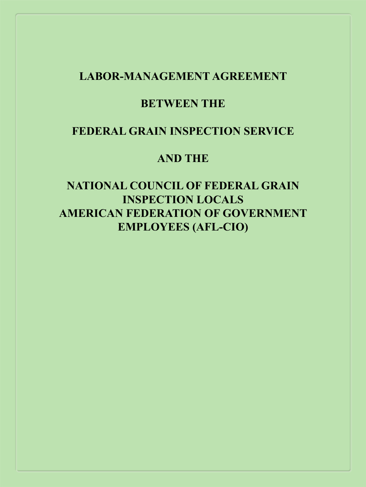#### <span id="page-0-0"></span>**LABOR-MANAGEMENT AGREEMENT**

#### **BETWEEN THE**

#### **FEDERAL GRAIN INSPECTION SERVICE**

#### **AND THE**

**NATIONAL COUNCIL OF FEDERAL GRAIN INSPECTION LOCALS AMERICAN FEDERATION OF GOVERNMENT EMPLOYEES (AFL-CIO)**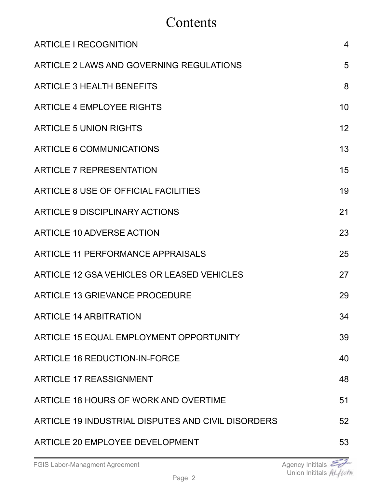# Contents

| <b>ARTICLE I RECOGNITION</b>                       | $\overline{4}$  |
|----------------------------------------------------|-----------------|
| ARTICLE 2 LAWS AND GOVERNING REGULATIONS           | 5               |
| <b>ARTICLE 3 HEALTH BENEFITS</b>                   | 8               |
| <b>ARTICLE 4 EMPLOYEE RIGHTS</b>                   | 10              |
| <b>ARTICLE 5 UNION RIGHTS</b>                      | 12 <sup>2</sup> |
| ARTICLE 6 COMMUNICATIONS                           | 13              |
| <b>ARTICLE 7 REPRESENTATION</b>                    | 15              |
| ARTICLE 8 USE OF OFFICIAL FACILITIES               | 19              |
| ARTICLE 9 DISCIPLINARY ACTIONS                     | 21              |
| ARTICLE 10 ADVERSE ACTION                          | 23              |
| ARTICLE 11 PERFORMANCE APPRAISALS                  | 25              |
| ARTICLE 12 GSA VEHICLES OR LEASED VEHICLES         | 27              |
| <b>ARTICLE 13 GRIEVANCE PROCEDURE</b>              | 29              |
| <b>ARTICLE 14 ARBITRATION</b>                      | 34              |
| ARTICLE 15 EQUAL EMPLOYMENT OPPORTUNITY            | 39              |
| <b>ARTICLE 16 REDUCTION-IN-FORCE</b>               | 40              |
| <b>ARTICLE 17 REASSIGNMENT</b>                     | 48              |
| ARTICLE 18 HOURS OF WORK AND OVERTIME              | 51              |
| ARTICLE 19 INDUSTRIAL DISPUTES AND CIVIL DISORDERS | 52              |
| ARTICLE 20 EMPLOYEE DEVELOPMENT                    | 53              |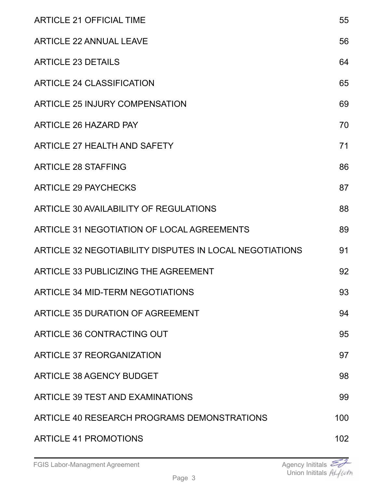| <b>ARTICLE 21 OFFICIAL TIME</b>                         | 55  |
|---------------------------------------------------------|-----|
| <b>ARTICLE 22 ANNUAL LEAVE</b>                          | 56  |
| <b>ARTICLE 23 DETAILS</b>                               | 64  |
| <b>ARTICLE 24 CLASSIFICATION</b>                        | 65  |
| ARTICLE 25 INJURY COMPENSATION                          | 69  |
| <b>ARTICLE 26 HAZARD PAY</b>                            | 70  |
| <b>ARTICLE 27 HEALTH AND SAFETY</b>                     | 71  |
| <b>ARTICLE 28 STAFFING</b>                              | 86  |
| <b>ARTICLE 29 PAYCHECKS</b>                             | 87  |
| ARTICLE 30 AVAILABILITY OF REGULATIONS                  | 88  |
| ARTICLE 31 NEGOTIATION OF LOCAL AGREEMENTS              | 89  |
| ARTICLE 32 NEGOTIABILITY DISPUTES IN LOCAL NEGOTIATIONS | 91  |
| ARTICLE 33 PUBLICIZING THE AGREEMENT                    | 92  |
| ARTICLE 34 MID-TERM NEGOTIATIONS                        | 93  |
| ARTICLE 35 DURATION OF AGREEMENT                        | 94  |
| ARTICLE 36 CONTRACTING OUT                              | 95  |
| ARTICLE 37 REORGANIZATION                               | 97  |
| <b>ARTICLE 38 AGENCY BUDGET</b>                         | 98  |
| ARTICLE 39 TEST AND EXAMINATIONS                        | 99  |
| ARTICLE 40 RESEARCH PROGRAMS DEMONSTRATIONS             | 100 |
| <b>ARTICLE 41 PROMOTIONS</b>                            | 102 |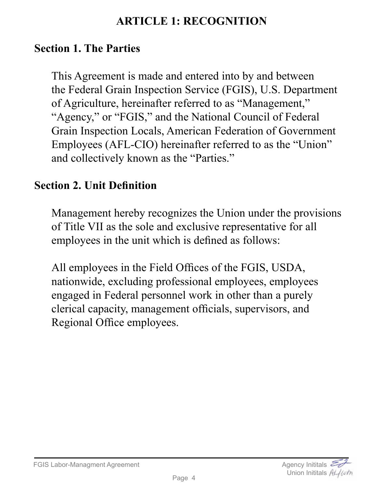## **ARTICLE 1: RECOGNITION**

### <span id="page-3-0"></span>**Section 1. The Parties**

This Agreement is made and entered into by and between the Federal Grain Inspection Service (FGIS), U.S. Department of Agriculture, hereinafter referred to as "Management," "Agency," or "FGIS," and the National Council of Federal Grain Inspection Locals, American Federation of Government Employees (AFL-CIO) hereinafter referred to as the "Union" and collectively known as the "Parties."

### **Section 2. Unit Definition**

Management hereby recognizes the Union under the provisions of Title VII as the sole and exclusive representative for all employees in the unit which is defined as follows:

All employees in the Field Offices of the FGIS, USDA, nationwide, excluding professional employees, employees engaged in Federal personnel work in other than a purely clerical capacity, management officials, supervisors, and Regional Office employees.

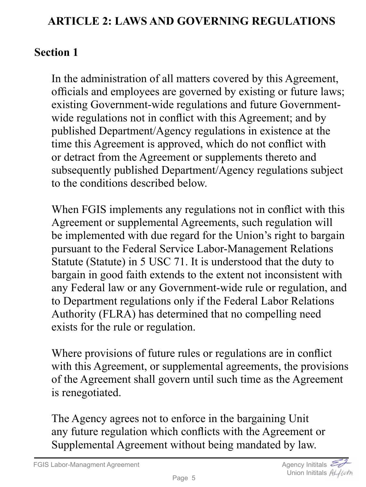## <span id="page-4-0"></span>**ARTICLE 2: LAWS AND GOVERNING REGULATIONS**

## **Section 1**

In the administration of all matters covered by this Agreement, officials and employees are governed by existing or future laws; existing Government-wide regulations and future Governmentwide regulations not in conflict with this Agreement; and by published Department/Agency regulations in existence at the time this Agreement is approved, which do not conflict with or detract from the Agreement or supplements thereto and subsequently published Department/Agency regulations subject to the conditions described below.

When FGIS implements any regulations not in conflict with this Agreement or supplemental Agreements, such regulation will be implemented with due regard for the Union's right to bargain pursuant to the Federal Service Labor-Management Relations Statute (Statute) in 5 USC 71. It is understood that the duty to bargain in good faith extends to the extent not inconsistent with any Federal law or any Government-wide rule or regulation, and to Department regulations only if the Federal Labor Relations Authority (FLRA) has determined that no compelling need exists for the rule or regulation.

Where provisions of future rules or regulations are in conflict with this Agreement, or supplemental agreements, the provisions of the Agreement shall govern until such time as the Agreement is renegotiated.

The Agency agrees not to enforce in the bargaining Unit any future regulation which conflicts with the Agreement or Supplemental Agreement without being mandated by law.

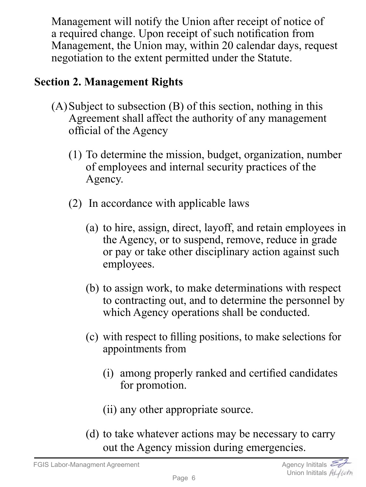Management will notify the Union after receipt of notice of a required change. Upon receipt of such notification from Management, the Union may, within 20 calendar days, request negotiation to the extent permitted under the Statute.

## **Section 2. Management Rights**

- $(A)$ Subject to subsection  $(B)$  of this section, nothing in this Agreement shall affect the authority of any management official of the Agency
	- (1) To determine the mission, budget, organization, number of employees and internal security practices of the Agency.
	- (2) In accordance with applicable laws
		- (a) to hire, assign, direct, layoff, and retain employees in the Agency, or to suspend, remove, reduce in grade or pay or take other disciplinary action against such employees.
		- (b) to assign work, to make determinations with respect to contracting out, and to determine the personnel by which Agency operations shall be conducted.
		- (c) with respect to filling positions, to make selections for appointments from
			- (i) among properly ranked and certified candidates for promotion.
			- (ii) any other appropriate source.
		- (d) to take whatever actions may be necessary to carry out the Agency mission during emergencies.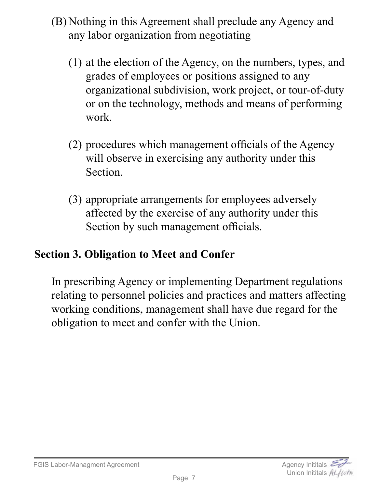- (B) Nothing in this Agreement shall preclude any Agency and any labor organization from negotiating
	- (1) at the election of the Agency, on the numbers, types, and grades of employees or positions assigned to any organizational subdivision, work project, or tour-of-duty or on the technology, methods and means of performing work.
	- (2) procedures which management officials of the Agency will observe in exercising any authority under this Section.
	- (3) appropriate arrangements for employees adversely affected by the exercise of any authority under this Section by such management officials.

# **Section 3. Obligation to Meet and Confer**

In prescribing Agency or implementing Department regulations relating to personnel policies and practices and matters affecting working conditions, management shall have due regard for the obligation to meet and confer with the Union.

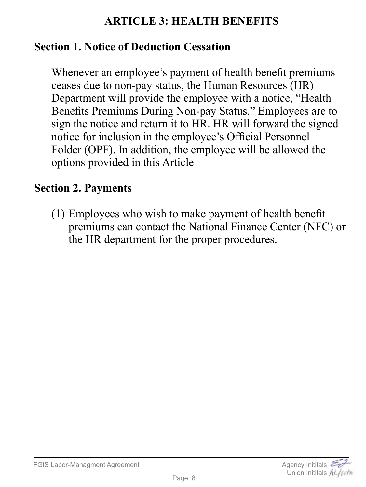### **ARTICLE 3: HEALTH BENEFITS**

#### <span id="page-7-0"></span>**Section 1. Notice of Deduction Cessation**

Whenever an employee's payment of health benefit premiums ceases due to non-pay status, the Human Resources (HR) Department will provide the employee with a notice, "Health Benefits Premiums During Non-pay Status." Employees are to sign the notice and return it to HR. HR will forward the signed notice for inclusion in the employee's Official Personnel Folder (OPF). In addition, the employee will be allowed the options provided in this Article

### **Section 2. Payments**

(1) Employees who wish to make payment of health benefit premiums can contact the National Finance Center (NFC) or the HR department for the proper procedures.

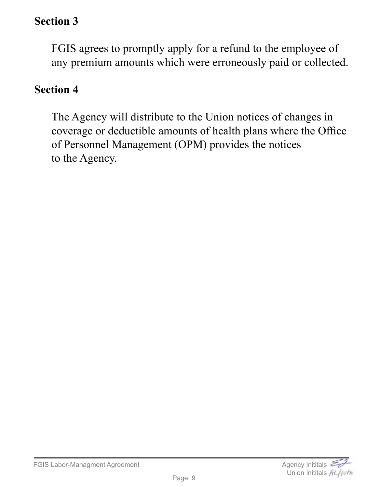# **Section 3**

FGIS agrees to promptly apply for a refund to the employee of any premium amounts which were erroneously paid or collected.

#### **Section 4**

The Agency will distribute to the Union notices of changes in coverage or deductible amounts of health plans where the Office of Personnel Management (OPM) provides the notices to the Agency.

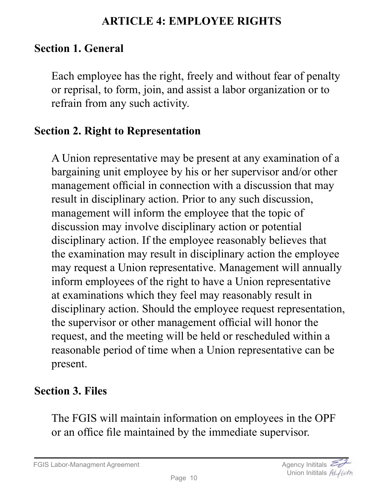#### **ARTICLE 4: EMPLOYEE RIGHTS**

### <span id="page-9-0"></span>**Section 1. General**

Each employee has the right, freely and without fear of penalty or reprisal, to form, join, and assist a labor organization or to refrain from any such activity.

#### **Section 2. Right to Representation**

A Union representative may be present at any examination of a bargaining unit employee by his or her supervisor and/or other management official in connection with a discussion that may result in disciplinary action. Prior to any such discussion, management will inform the employee that the topic of discussion may involve disciplinary action or potential disciplinary action. If the employee reasonably believes that the examination may result in disciplinary action the employee may request a Union representative. Management will annually inform employees of the right to have a Union representative at examinations which they feel may reasonably result in disciplinary action. Should the employee request representation, the supervisor or other management official will honor the request, and the meeting will be held or rescheduled within a reasonable period of time when a Union representative can be present.

### **Section 3. Files**

The FGIS will maintain information on employees in the OPF or an office file maintained by the immediate supervisor.

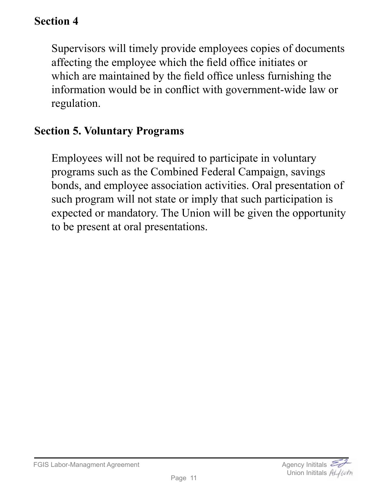## **Section 4**

Supervisors will timely provide employees copies of documents affecting the employee which the field office initiates or which are maintained by the field office unless furnishing the information would be in conflict with government-wide law or regulation.

#### **Section 5. Voluntary Programs**

Employees will not be required to participate in voluntary programs such as the Combined Federal Campaign, savings bonds, and employee association activities. Oral presentation of such program will not state or imply that such participation is expected or mandatory. The Union will be given the opportunity to be present at oral presentations.

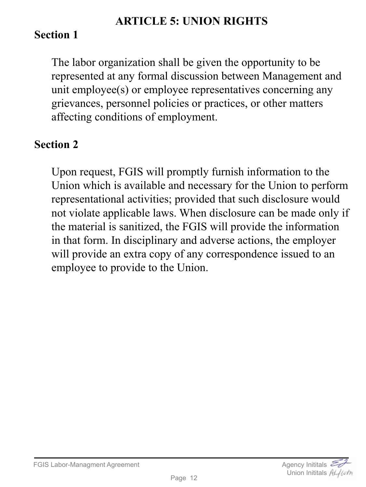#### **ARTICLE 5: UNION RIGHTS**

## <span id="page-11-0"></span>**Section 1**

The labor organization shall be given the opportunity to be represented at any formal discussion between Management and unit employee(s) or employee representatives concerning any grievances, personnel policies or practices, or other matters affecting conditions of employment.

### **Section 2**

Upon request, FGIS will promptly furnish information to the Union which is available and necessary for the Union to perform representational activities; provided that such disclosure would not violate applicable laws. When disclosure can be made only if the material is sanitized, the FGIS will provide the information in that form. In disciplinary and adverse actions, the employer will provide an extra copy of any correspondence issued to an employee to provide to the Union.

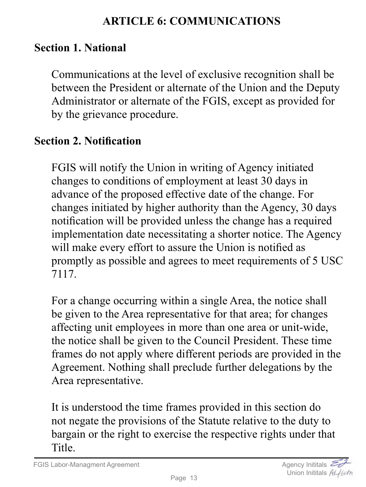### **ARTICLE 6: COMMUNICATIONS**

#### <span id="page-12-0"></span>**Section 1. National**

Communications at the level of exclusive recognition shall be between the President or alternate of the Union and the Deputy Administrator or alternate of the FGIS, except as provided for by the grievance procedure.

### **Section 2. Notification**

FGIS will notify the Union in writing of Agency initiated changes to conditions of employment at least 30 days in advance of the proposed effective date of the change. For changes initiated by higher authority than the Agency, 30 days notification will be provided unless the change has a required implementation date necessitating a shorter notice. The Agency will make every effort to assure the Union is notified as promptly as possible and agrees to meet requirements of 5 USC 7117.

For a change occurring within a single Area, the notice shall be given to the Area representative for that area; for changes affecting unit employees in more than one area or unit-wide, the notice shall be given to the Council President. These time frames do not apply where different periods are provided in the Agreement. Nothing shall preclude further delegations by the Area representative.

It is understood the time frames provided in this section do not negate the provisions of the Statute relative to the duty to bargain or the right to exercise the respective rights under that Title.

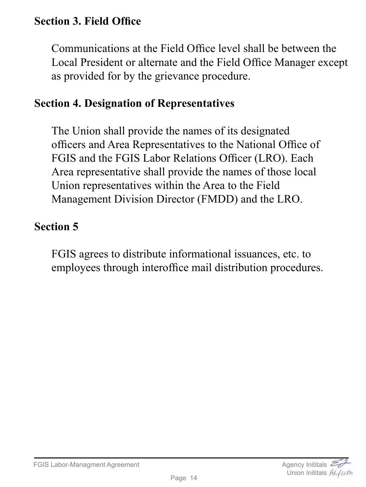## **Section 3. Field Office**

Communications at the Field Office level shall be between the Local President or alternate and the Field Office Manager except as provided for by the grievance procedure.

#### **Section 4. Designation of Representatives**

The Union shall provide the names of its designated officers and Area Representatives to the National Office of FGIS and the FGIS Labor Relations Officer (LRO). Each Area representative shall provide the names of those local Union representatives within the Area to the Field Management Division Director (FMDD) and the LRO.

#### **Section 5**

FGIS agrees to distribute informational issuances, etc. to employees through interoffice mail distribution procedures.

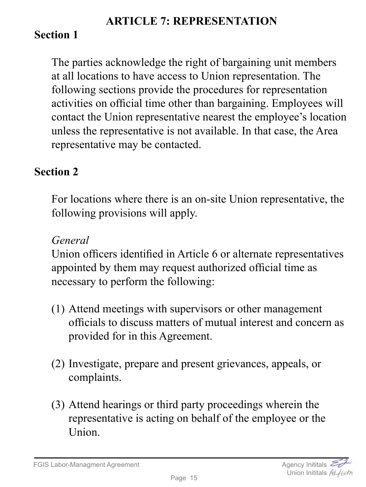#### **ARTICLE 7: REPRESENTATION**

## <span id="page-14-0"></span>**Section 1**

The parties acknowledge the right of bargaining unit members at all locations to have access to Union representation. The following sections provide the procedures for representation activities on official time other than bargaining. Employees will contact the Union representative nearest the employee's location unless the representative is not available. In that case, the Area representative may be contacted.

## **Section 2**

For locations where there is an on-site Union representative, the following provisions will apply.

#### *General*

Union officers identified in Article 6 or alternate representatives appointed by them may request authorized official time as necessary to perform the following:

- (1) Attend meetings with supervisors or other management officials to discuss matters of mutual interest and concern as provided for in this Agreement.
- (2) Investigate, prepare and present grievances, appeals, or complaints.
- (3) Attend hearings or third party proceedings wherein the representative is acting on behalf of the employee or the Union.

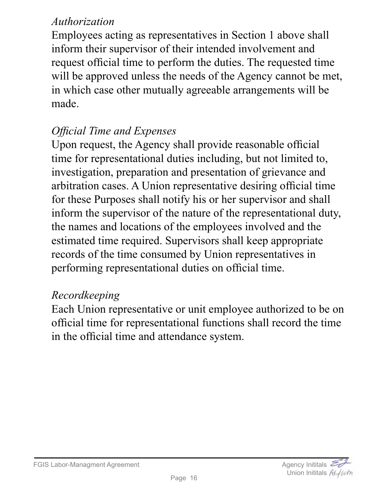### *Authorization*

Employees acting as representatives in Section 1 above shall inform their supervisor of their intended involvement and request official time to perform the duties. The requested time will be approved unless the needs of the Agency cannot be met, in which case other mutually agreeable arrangements will be made.

## *Official Time and Expenses*

Upon request, the Agency shall provide reasonable official time for representational duties including, but not limited to, investigation, preparation and presentation of grievance and arbitration cases. A Union representative desiring official time for these Purposes shall notify his or her supervisor and shall inform the supervisor of the nature of the representational duty, the names and locations of the employees involved and the estimated time required. Supervisors shall keep appropriate records of the time consumed by Union representatives in performing representational duties on official time.

### *Recordkeeping*

Each Union representative or unit employee authorized to be on official time for representational functions shall record the time in the official time and attendance system.

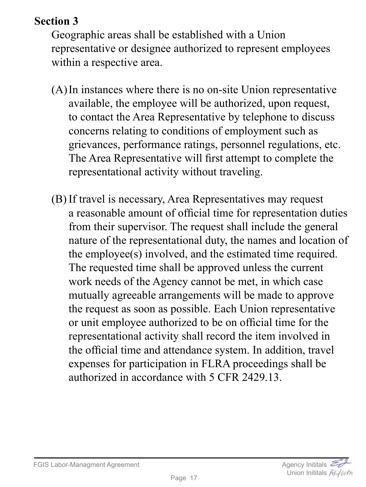# **Section 3**

Geographic areas shall be established with a Union representative or designee authorized to represent employees within a respective area.

- (A)In instances where there is no on-site Union representative available, the employee will be authorized, upon request, to contact the Area Representative by telephone to discuss concerns relating to conditions of employment such as grievances, performance ratings, personnel regulations, etc. The Area Representative will first attempt to complete the representational activity without traveling.
- (B) If travel is necessary, Area Representatives may request a reasonable amount of official time for representation duties from their supervisor. The request shall include the general nature of the representational duty, the names and location of the employee(s) involved, and the estimated time required. The requested time shall be approved unless the current work needs of the Agency cannot be met, in which case mutually agreeable arrangements will be made to approve the request as soon as possible. Each Union representative or unit employee authorized to be on official time for the representational activity shall record the item involved in the official time and attendance system. In addition, travel expenses for participation in FLRA proceedings shall be authorized in accordance with 5 CFR 2429.13.

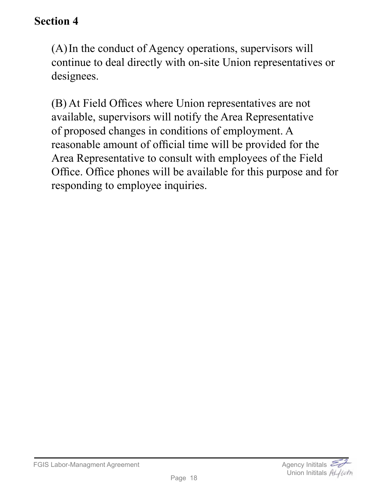### **Section 4**

(A)In the conduct of Agency operations, supervisors will continue to deal directly with on-site Union representatives or designees.

(B) At Field Offices where Union representatives are not available, supervisors will notify the Area Representative of proposed changes in conditions of employment. A reasonable amount of official time will be provided for the Area Representative to consult with employees of the Field Office. Office phones will be available for this purpose and for responding to employee inquiries.

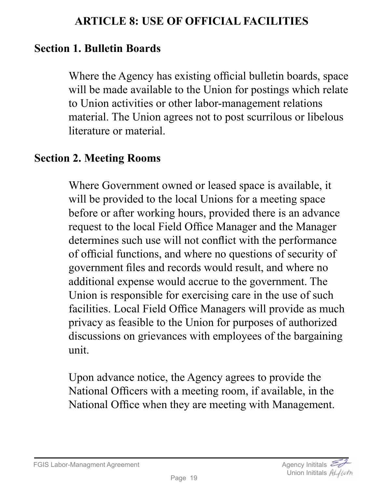#### **ARTICLE 8: USE OF OFFICIAL FACILITIES**

#### <span id="page-18-0"></span>**Section 1. Bulletin Boards**

Where the Agency has existing official bulletin boards, space will be made available to the Union for postings which relate to Union activities or other labor-management relations material. The Union agrees not to post scurrilous or libelous literature or material.

#### **Section 2. Meeting Rooms**

Where Government owned or leased space is available, it will be provided to the local Unions for a meeting space before or after working hours, provided there is an advance request to the local Field Office Manager and the Manager determines such use will not conflict with the performance of official functions, and where no questions of security of government files and records would result, and where no additional expense would accrue to the government. The Union is responsible for exercising care in the use of such facilities. Local Field Office Managers will provide as much privacy as feasible to the Union for purposes of authorized discussions on grievances with employees of the bargaining unit.

Upon advance notice, the Agency agrees to provide the National Officers with a meeting room, if available, in the National Office when they are meeting with Management.

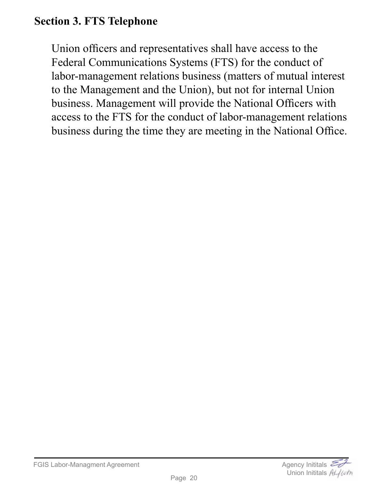## **Section 3. FTS Telephone**

Union officers and representatives shall have access to the Federal Communications Systems (FTS) for the conduct of labor-management relations business (matters of mutual interest to the Management and the Union), but not for internal Union business. Management will provide the National Officers with access to the FTS for the conduct of labor-management relations business during the time they are meeting in the National Office.

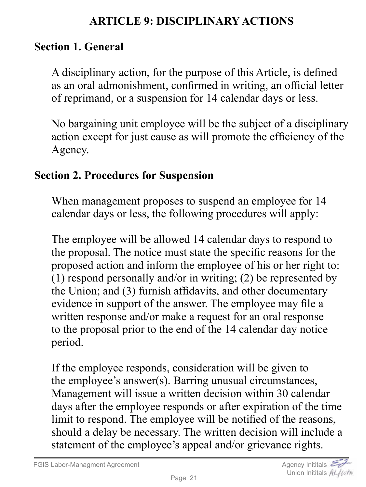### **ARTICLE 9: DISCIPLINARY ACTIONS**

#### <span id="page-20-0"></span>**Section 1. General**

A disciplinary action, for the purpose of this Article, is defined as an oral admonishment, confirmed in writing, an official letter of reprimand, or a suspension for 14 calendar days or less.

No bargaining unit employee will be the subject of a disciplinary action except for just cause as will promote the efficiency of the Agency.

#### **Section 2. Procedures for Suspension**

When management proposes to suspend an employee for 14 calendar days or less, the following procedures will apply:

The employee will be allowed 14 calendar days to respond to the proposal. The notice must state the specific reasons for the proposed action and inform the employee of his or her right to: (1) respond personally and/or in writing; (2) be represented by the Union; and (3) furnish affidavits, and other documentary evidence in support of the answer. The employee may file a written response and/or make a request for an oral response to the proposal prior to the end of the 14 calendar day notice period.

If the employee responds, consideration will be given to the employee's answer(s). Barring unusual circumstances, Management will issue a written decision within 30 calendar days after the employee responds or after expiration of the time limit to respond. The employee will be notified of the reasons, should a delay be necessary. The written decision will include a statement of the employee's appeal and/or grievance rights.

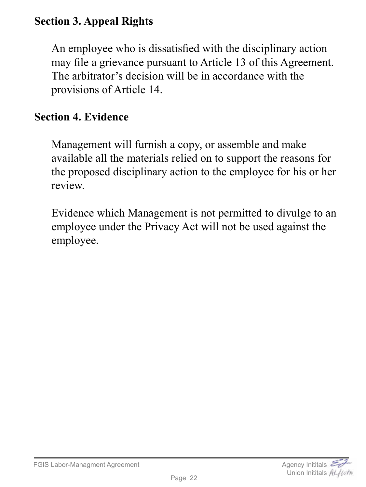# **Section 3. Appeal Rights**

An employee who is dissatisfied with the disciplinary action may file a grievance pursuant to Article 13 of this Agreement. The arbitrator's decision will be in accordance with the provisions of Article 14.

#### **Section 4. Evidence**

Management will furnish a copy, or assemble and make available all the materials relied on to support the reasons for the proposed disciplinary action to the employee for his or her review.

Evidence which Management is not permitted to divulge to an employee under the Privacy Act will not be used against the employee.

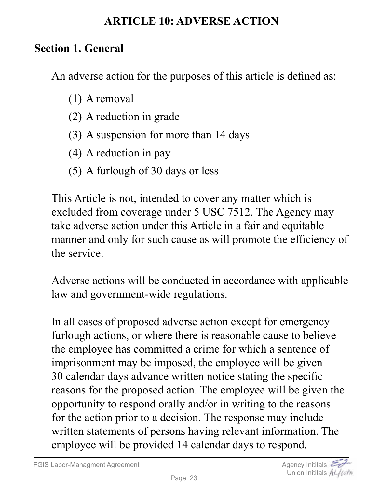#### **ARTICLE 10: ADVERSE ACTION**

### <span id="page-22-0"></span>**Section 1. General**

An adverse action for the purposes of this article is defined as:

- (1) A removal
- (2) A reduction in grade
- (3) A suspension for more than 14 days
- (4) A reduction in pay
- (5) A furlough of 30 days or less

This Article is not, intended to cover any matter which is excluded from coverage under 5 USC 7512. The Agency may take adverse action under this Article in a fair and equitable manner and only for such cause as will promote the efficiency of the service.

Adverse actions will be conducted in accordance with applicable law and government-wide regulations.

In all cases of proposed adverse action except for emergency furlough actions, or where there is reasonable cause to believe the employee has committed a crime for which a sentence of imprisonment may be imposed, the employee will be given 30 calendar days advance written notice stating the specific reasons for the proposed action. The employee will be given the opportunity to respond orally and/or in writing to the reasons for the action prior to a decision. The response may include written statements of persons having relevant information. The employee will be provided 14 calendar days to respond.

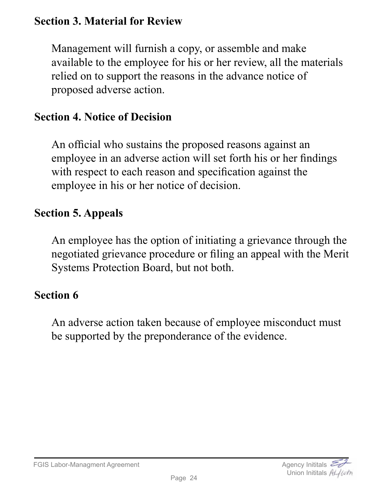### **Section 3. Material for Review**

Management will furnish a copy, or assemble and make available to the employee for his or her review, all the materials relied on to support the reasons in the advance notice of proposed adverse action.

### **Section 4. Notice of Decision**

An official who sustains the proposed reasons against an employee in an adverse action will set forth his or her findings with respect to each reason and specification against the employee in his or her notice of decision.

### **Section 5. Appeals**

An employee has the option of initiating a grievance through the negotiated grievance procedure or filing an appeal with the Merit Systems Protection Board, but not both.

### **Section 6**

An adverse action taken because of employee misconduct must be supported by the preponderance of the evidence.



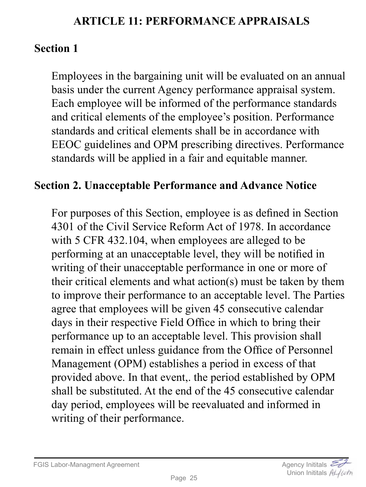## **ARTICLE 11: PERFORMANCE APPRAISALS**

## <span id="page-24-0"></span>**Section 1**

Employees in the bargaining unit will be evaluated on an annual basis under the current Agency performance appraisal system. Each employee will be informed of the performance standards and critical elements of the employee's position. Performance standards and critical elements shall be in accordance with EEOC guidelines and OPM prescribing directives. Performance standards will be applied in a fair and equitable manner.

#### **Section 2. Unacceptable Performance and Advance Notice**

For purposes of this Section, employee is as defined in Section 4301 of the Civil Service Reform Act of 1978. In accordance with 5 CFR 432.104, when employees are alleged to be performing at an unacceptable level, they will be notified in writing of their unacceptable performance in one or more of their critical elements and what action(s) must be taken by them to improve their performance to an acceptable level. The Parties agree that employees will be given 45 consecutive calendar days in their respective Field Office in which to bring their performance up to an acceptable level. This provision shall remain in effect unless guidance from the Office of Personnel Management (OPM) establishes a period in excess of that provided above. In that event,. the period established by OPM shall be substituted. At the end of the 45 consecutive calendar day period, employees will be reevaluated and informed in writing of their performance.

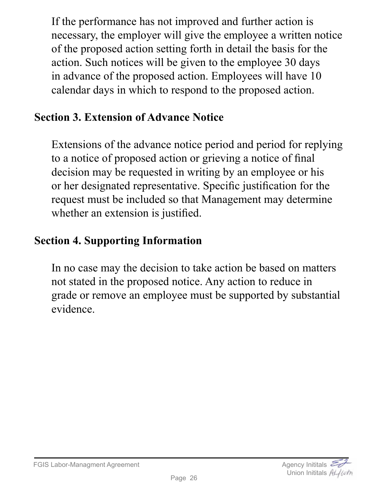If the performance has not improved and further action is necessary, the employer will give the employee a written notice of the proposed action setting forth in detail the basis for the action. Such notices will be given to the employee 30 days in advance of the proposed action. Employees will have 10 calendar days in which to respond to the proposed action.

# **Section 3. Extension of Advance Notice**

Extensions of the advance notice period and period for replying to a notice of proposed action or grieving a notice of final decision may be requested in writing by an employee or his or her designated representative. Specific justification for the request must be included so that Management may determine whether an extension is justified.

## **Section 4. Supporting Information**

In no case may the decision to take action be based on matters not stated in the proposed notice. Any action to reduce in grade or remove an employee must be supported by substantial evidence.

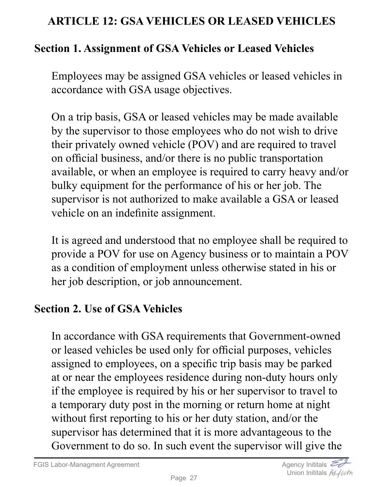### <span id="page-26-0"></span>**ARTICLE 12: GSA VEHICLES OR LEASED VEHICLES**

#### **Section 1. Assignment of GSA Vehicles or Leased Vehicles**

Employees may be assigned GSA vehicles or leased vehicles in accordance with GSA usage objectives.

On a trip basis, GSA or leased vehicles may be made available by the supervisor to those employees who do not wish to drive their privately owned vehicle (POV) and are required to travel on official business, and/or there is no public transportation available, or when an employee is required to carry heavy and/or bulky equipment for the performance of his or her job. The supervisor is not authorized to make available a GSA or leased vehicle on an indefinite assignment.

It is agreed and understood that no employee shall be required to provide a POV for use on Agency business or to maintain a POV as a condition of employment unless otherwise stated in his or her job description, or job announcement.

#### **Section 2. Use of GSA Vehicles**

In accordance with GSA requirements that Government-owned or leased vehicles be used only for official purposes, vehicles assigned to employees, on a specific trip basis may be parked at or near the employees residence during non-duty hours only if the employee is required by his or her supervisor to travel to a temporary duty post in the morning or return home at night without first reporting to his or her duty station, and/or the supervisor has determined that it is more advantageous to the Government to do so. In such event the supervisor will give the

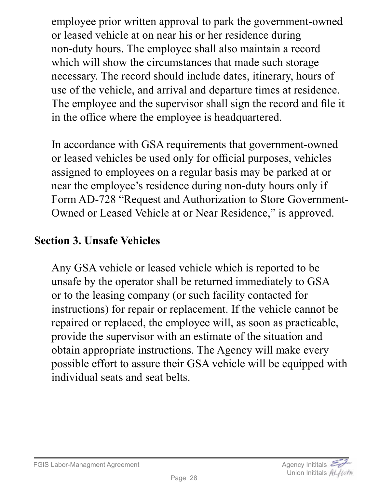employee prior written approval to park the government-owned or leased vehicle at on near his or her residence during non-duty hours. The employee shall also maintain a record which will show the circumstances that made such storage necessary. The record should include dates, itinerary, hours of use of the vehicle, and arrival and departure times at residence. The employee and the supervisor shall sign the record and file it in the office where the employee is headquartered.

In accordance with GSA requirements that government-owned or leased vehicles be used only for official purposes, vehicles assigned to employees on a regular basis may be parked at or near the employee's residence during non-duty hours only if Form AD-728 "Request and Authorization to Store Government-Owned or Leased Vehicle at or Near Residence," is approved.

#### **Section 3. Unsafe Vehicles**

Any GSA vehicle or leased vehicle which is reported to be unsafe by the operator shall be returned immediately to GSA or to the leasing company (or such facility contacted for instructions) for repair or replacement. If the vehicle cannot be repaired or replaced, the employee will, as soon as practicable, provide the supervisor with an estimate of the situation and obtain appropriate instructions. The Agency will make every possible effort to assure their GSA vehicle will be equipped with individual seats and seat belts.



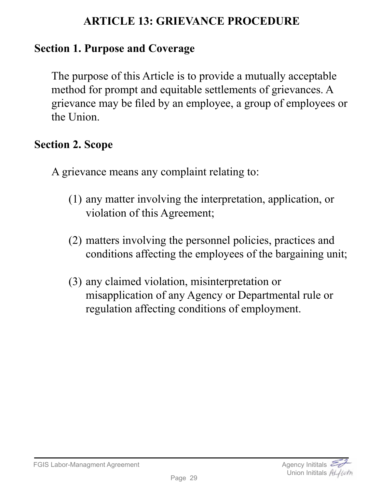## **ARTICLE 13: GRIEVANCE PROCEDURE**

### <span id="page-28-0"></span>**Section 1. Purpose and Coverage**

The purpose of this Article is to provide a mutually acceptable method for prompt and equitable settlements of grievances. A grievance may be filed by an employee, a group of employees or the Union.

#### **Section 2. Scope**

A grievance means any complaint relating to:

- (1) any matter involving the interpretation, application, or violation of this Agreement;
- (2) matters involving the personnel policies, practices and conditions affecting the employees of the bargaining unit;
- (3) any claimed violation, misinterpretation or misapplication of any Agency or Departmental rule or regulation affecting conditions of employment.

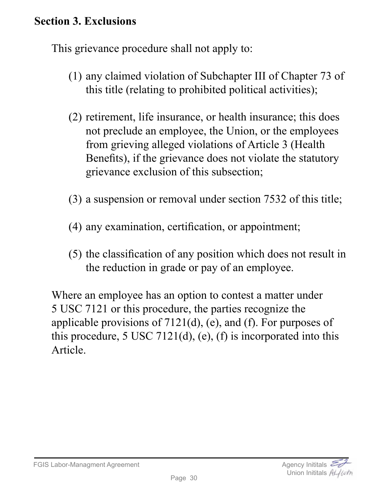### **Section 3. Exclusions**

This grievance procedure shall not apply to:

- (1) any claimed violation of Subchapter III of Chapter 73 of this title (relating to prohibited political activities);
- (2) retirement, life insurance, or health insurance; this does not preclude an employee, the Union, or the employees from grieving alleged violations of Article 3 (Health Benefits), if the grievance does not violate the statutory grievance exclusion of this subsection;
- (3) a suspension or removal under section 7532 of this title;
- (4) any examination, certification, or appointment;
- (5) the classification of any position which does not result in the reduction in grade or pay of an employee.

Where an employee has an option to contest a matter under 5 USC 7121 or this procedure, the parties recognize the applicable provisions of 7121(d), (e), and (f). For purposes of this procedure, 5 USC 7121(d), (e), (f) is incorporated into this Article.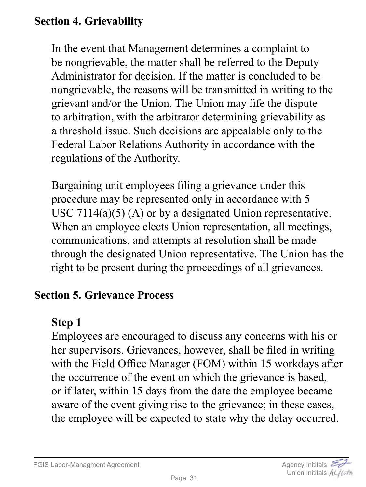# **Section 4. Grievability**

In the event that Management determines a complaint to be nongrievable, the matter shall be referred to the Deputy Administrator for decision. If the matter is concluded to be nongrievable, the reasons will be transmitted in writing to the grievant and/or the Union. The Union may fife the dispute to arbitration, with the arbitrator determining grievability as a threshold issue. Such decisions are appealable only to the Federal Labor Relations Authority in accordance with the regulations of the Authority.

Bargaining unit employees filing a grievance under this procedure may be represented only in accordance with 5 USC 7114(a)(5) (A) or by a designated Union representative. When an employee elects Union representation, all meetings, communications, and attempts at resolution shall be made through the designated Union representative. The Union has the right to be present during the proceedings of all grievances.

#### **Section 5. Grievance Process**

### **Step 1**

Employees are encouraged to discuss any concerns with his or her supervisors. Grievances, however, shall be filed in writing with the Field Office Manager (FOM) within 15 workdays after the occurrence of the event on which the grievance is based, or if later, within 15 days from the date the employee became aware of the event giving rise to the grievance; in these cases, the employee will be expected to state why the delay occurred.

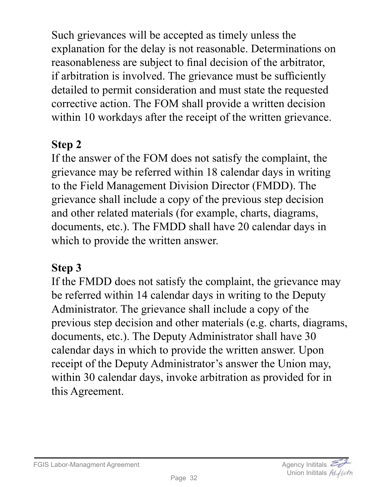Such grievances will be accepted as timely unless the explanation for the delay is not reasonable. Determinations on reasonableness are subject to final decision of the arbitrator, if arbitration is involved. The grievance must be sufficiently detailed to permit consideration and must state the requested corrective action. The FOM shall provide a written decision within 10 workdays after the receipt of the written grievance.

# **Step 2**

If the answer of the FOM does not satisfy the complaint, the grievance may be referred within 18 calendar days in writing to the Field Management Division Director (FMDD). The grievance shall include a copy of the previous step decision and other related materials (for example, charts, diagrams, documents, etc.). The FMDD shall have 20 calendar days in which to provide the written answer.

#### **Step 3**

If the FMDD does not satisfy the complaint, the grievance may be referred within 14 calendar days in writing to the Deputy Administrator. The grievance shall include a copy of the previous step decision and other materials (e.g. charts, diagrams, documents, etc.). The Deputy Administrator shall have 30 calendar days in which to provide the written answer. Upon receipt of the Deputy Administrator's answer the Union may, within 30 calendar days, invoke arbitration as provided for in this Agreement.

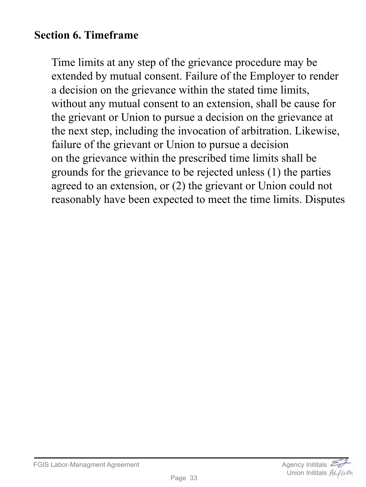### **Section 6. Timeframe**

Time limits at any step of the grievance procedure may be extended by mutual consent. Failure of the Employer to render a decision on the grievance within the stated time limits, without any mutual consent to an extension, shall be cause for the grievant or Union to pursue a decision on the grievance at the next step, including the invocation of arbitration. Likewise, failure of the grievant or Union to pursue a decision on the grievance within the prescribed time limits shall be grounds for the grievance to be rejected unless (1) the parties agreed to an extension, or (2) the grievant or Union could not reasonably have been expected to meet the time limits. Disputes

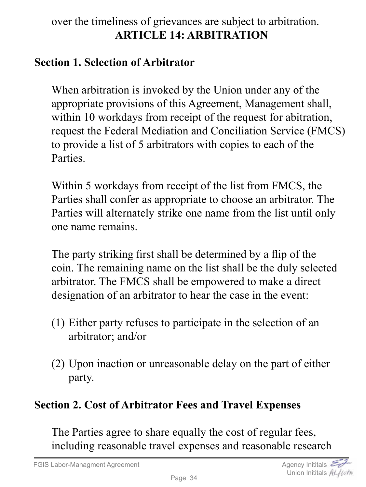## <span id="page-33-0"></span>over the timeliness of grievances are subject to arbitration. **ARTICLE 14: ARBITRATION**

#### **Section 1. Selection of Arbitrator**

When arbitration is invoked by the Union under any of the appropriate provisions of this Agreement, Management shall, within 10 workdays from receipt of the request for abitration, request the Federal Mediation and Conciliation Service (FMCS) to provide a list of 5 arbitrators with copies to each of the Parties.

Within 5 workdays from receipt of the list from FMCS, the Parties shall confer as appropriate to choose an arbitrator. The Parties will alternately strike one name from the list until only one name remains.

The party striking first shall be determined by a flip of the coin. The remaining name on the list shall be the duly selected arbitrator. The FMCS shall be empowered to make a direct designation of an arbitrator to hear the case in the event:

- (1) Either party refuses to participate in the selection of an arbitrator; and/or
- (2) Upon inaction or unreasonable delay on the part of either party.

# **Section 2. Cost of Arbitrator Fees and Travel Expenses**

The Parties agree to share equally the cost of regular fees, including reasonable travel expenses and reasonable research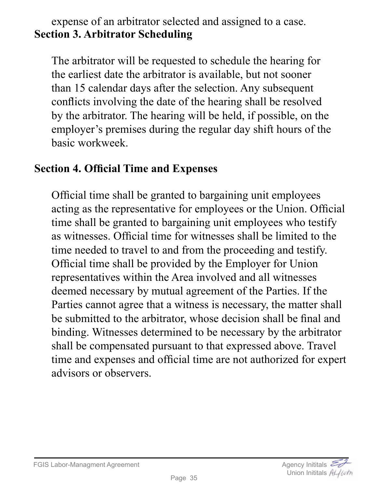#### expense of an arbitrator selected and assigned to a case. **Section 3. Arbitrator Scheduling**

The arbitrator will be requested to schedule the hearing for the earliest date the arbitrator is available, but not sooner than 15 calendar days after the selection. Any subsequent conflicts involving the date of the hearing shall be resolved by the arbitrator. The hearing will be held, if possible, on the employer's premises during the regular day shift hours of the basic workweek.

### **Section 4. Official Time and Expenses**

Official time shall be granted to bargaining unit employees acting as the representative for employees or the Union. Official time shall be granted to bargaining unit employees who testify as witnesses. Official time for witnesses shall be limited to the time needed to travel to and from the proceeding and testify. Official time shall be provided by the Employer for Union representatives within the Area involved and all witnesses deemed necessary by mutual agreement of the Parties. If the Parties cannot agree that a witness is necessary, the matter shall be submitted to the arbitrator, whose decision shall be final and binding. Witnesses determined to be necessary by the arbitrator shall be compensated pursuant to that expressed above. Travel time and expenses and official time are not authorized for expert advisors or observers.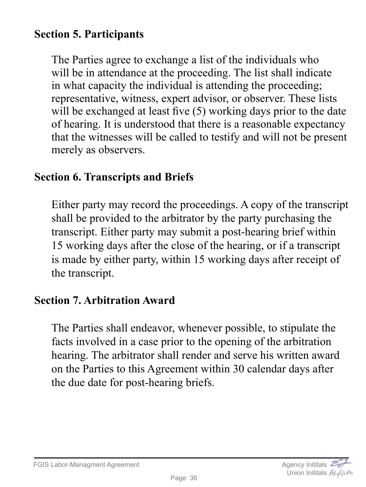## **Section 5. Participants**

The Parties agree to exchange a list of the individuals who will be in attendance at the proceeding. The list shall indicate in what capacity the individual is attending the proceeding; representative, witness, expert advisor, or observer. These lists will be exchanged at least five  $(5)$  working days prior to the date of hearing. It is understood that there is a reasonable expectancy that the witnesses will be called to testify and will not be present merely as observers.

#### **Section 6. Transcripts and Briefs**

Either party may record the proceedings. A copy of the transcript shall be provided to the arbitrator by the party purchasing the transcript. Either party may submit a post-hearing brief within 15 working days after the close of the hearing, or if a transcript is made by either party, within 15 working days after receipt of the transcript.

# **Section 7. Arbitration Award**

The Parties shall endeavor, whenever possible, to stipulate the facts involved in a case prior to the opening of the arbitration hearing. The arbitrator shall render and serve his written award on the Parties to this Agreement within 30 calendar days after the due date for post-hearing briefs.



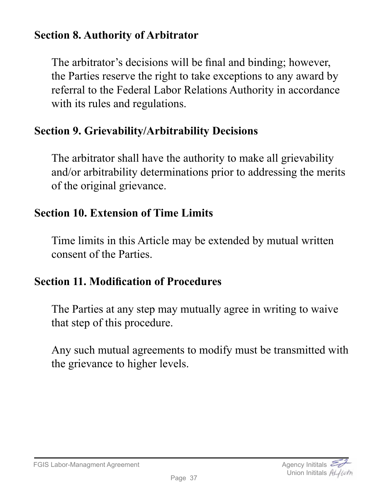## **Section 8. Authority of Arbitrator**

The arbitrator's decisions will be final and binding; however, the Parties reserve the right to take exceptions to any award by referral to the Federal Labor Relations Authority in accordance with its rules and regulations.

# **Section 9. Grievability/Arbitrability Decisions**

The arbitrator shall have the authority to make all grievability and/or arbitrability determinations prior to addressing the merits of the original grievance.

# **Section 10. Extension of Time Limits**

Time limits in this Article may be extended by mutual written consent of the Parties.

# **Section 11. Modification of Procedures**

The Parties at any step may mutually agree in writing to waive that step of this procedure.

Any such mutual agreements to modify must be transmitted with the grievance to higher levels.

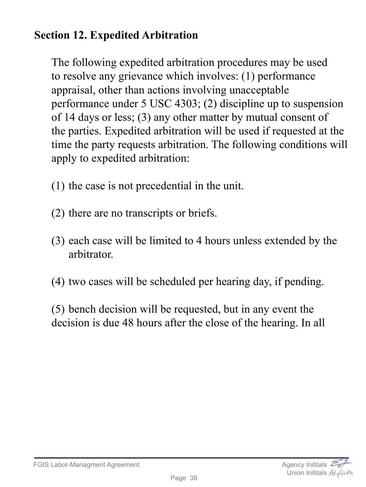# **Section 12. Expedited Arbitration**

The following expedited arbitration procedures may be used to resolve any grievance which involves: (1) performance appraisal, other than actions involving unacceptable performance under 5 USC 4303; (2) discipline up to suspension of 14 days or less; (3) any other matter by mutual consent of the parties. Expedited arbitration will be used if requested at the time the party requests arbitration. The following conditions will apply to expedited arbitration:

- (1) the case is not precedential in the unit.
- (2) there are no transcripts or briefs.
- (3) each case will be limited to 4 hours unless extended by the arbitrator.
- (4) two cases will be scheduled per hearing day, if pending.

(5) bench decision will be requested, but in any event the decision is due 48 hours after the close of the hearing. In all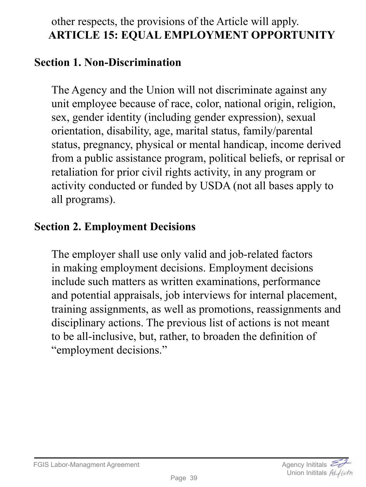# other respects, the provisions of the Article will apply. **ARTICLE 15: EQUAL EMPLOYMENT OPPORTUNITY**

#### **Section 1. Non-Discrimination**

The Agency and the Union will not discriminate against any unit employee because of race, color, national origin, religion, sex, gender identity (including gender expression), sexual orientation, disability, age, marital status, family/parental status, pregnancy, physical or mental handicap, income derived from a public assistance program, political beliefs, or reprisal or retaliation for prior civil rights activity, in any program or activity conducted or funded by USDA (not all bases apply to all programs).

# **Section 2. Employment Decisions**

The employer shall use only valid and job-related factors in making employment decisions. Employment decisions include such matters as written examinations, performance and potential appraisals, job interviews for internal placement, training assignments, as well as promotions, reassignments and disciplinary actions. The previous list of actions is not meant to be all-inclusive, but, rather, to broaden the definition of "employment decisions."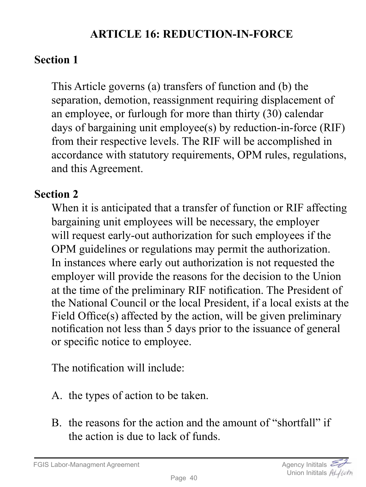# **ARTICLE 16: REDUCTION-IN-FORCE**

# **Section 1**

This Article governs (a) transfers of function and (b) the separation, demotion, reassignment requiring displacement of an employee, or furlough for more than thirty (30) calendar days of bargaining unit employee(s) by reduction-in-force (RIF) from their respective levels. The RIF will be accomplished in accordance with statutory requirements, OPM rules, regulations, and this Agreement.

# **Section 2**

When it is anticipated that a transfer of function or RIF affecting bargaining unit employees will be necessary, the employer will request early-out authorization for such employees if the OPM guidelines or regulations may permit the authorization. In instances where early out authorization is not requested the employer will provide the reasons for the decision to the Union at the time of the preliminary RIF notification. The President of the National Council or the local President, if a local exists at the Field Office(s) affected by the action, will be given preliminary notification not less than 5 days prior to the issuance of general or specific notice to employee.

The notification will include:

- A. the types of action to be taken.
- B. the reasons for the action and the amount of "shortfall" if the action is due to lack of funds.

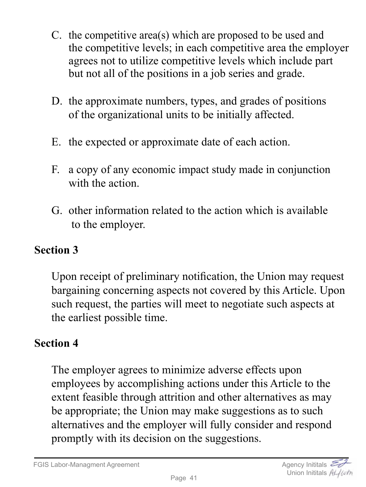- C. the competitive area(s) which are proposed to be used and the competitive levels; in each competitive area the employer agrees not to utilize competitive levels which include part but not all of the positions in a job series and grade.
- D. the approximate numbers, types, and grades of positions of the organizational units to be initially affected.
- E. the expected or approximate date of each action.
- F. a copy of any economic impact study made in conjunction with the action.
- G. other information related to the action which is available to the employer.

Upon receipt of preliminary notification, the Union may request bargaining concerning aspects not covered by this Article. Upon such request, the parties will meet to negotiate such aspects at the earliest possible time.

# **Section 4**

The employer agrees to minimize adverse effects upon employees by accomplishing actions under this Article to the extent feasible through attrition and other alternatives as may be appropriate; the Union may make suggestions as to such alternatives and the employer will fully consider and respond promptly with its decision on the suggestions.

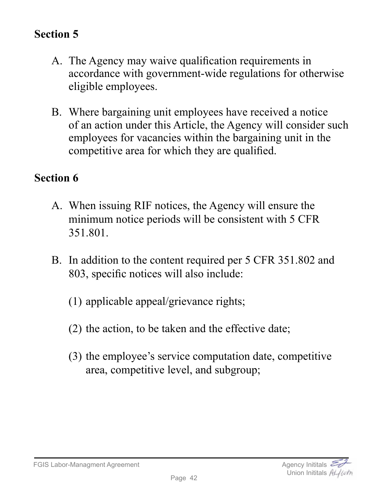- A. The Agency may waive qualification requirements in accordance with government-wide regulations for otherwise eligible employees.
- B. Where bargaining unit employees have received a notice of an action under this Article, the Agency will consider such employees for vacancies within the bargaining unit in the competitive area for which they are qualified.

## **Section 6**

- A. When issuing RIF notices, the Agency will ensure the minimum notice periods will be consistent with 5 CFR 351.801.
- B. In addition to the content required per 5 CFR 351.802 and 803, specific notices will also include:
	- (1) applicable appeal/grievance rights;
	- (2) the action, to be taken and the effective date;
	- (3) the employee's service computation date, competitive area, competitive level, and subgroup;



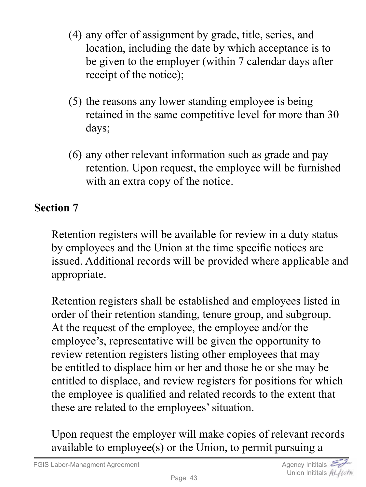- (4) any offer of assignment by grade, title, series, and location, including the date by which acceptance is to be given to the employer (within 7 calendar days after receipt of the notice);
- (5) the reasons any lower standing employee is being retained in the same competitive level for more than 30 days;
- (6) any other relevant information such as grade and pay retention. Upon request, the employee will be furnished with an extra copy of the notice.

Retention registers will be available for review in a duty status by employees and the Union at the time specific notices are issued. Additional records will be provided where applicable and appropriate.

Retention registers shall be established and employees listed in order of their retention standing, tenure group, and subgroup. At the request of the employee, the employee and/or the employee's, representative will be given the opportunity to review retention registers listing other employees that may be entitled to displace him or her and those he or she may be entitled to displace, and review registers for positions for which the employee is qualified and related records to the extent that these are related to the employees' situation.

Upon request the employer will make copies of relevant records available to employee(s) or the Union, to permit pursuing a

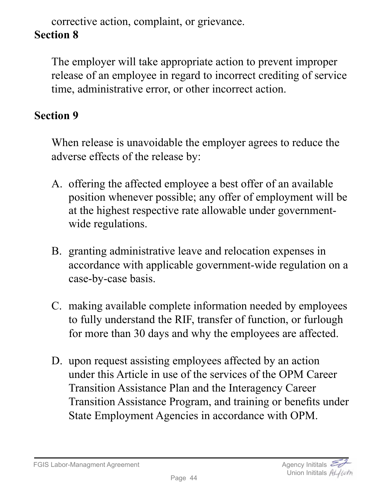corrective action, complaint, or grievance.

# **Section 8**

The employer will take appropriate action to prevent improper release of an employee in regard to incorrect crediting of service time, administrative error, or other incorrect action.

## **Section 9**

When release is unavoidable the employer agrees to reduce the adverse effects of the release by:

- A. offering the affected employee a best offer of an available position whenever possible; any offer of employment will be at the highest respective rate allowable under governmentwide regulations.
- B. granting administrative leave and relocation expenses in accordance with applicable government-wide regulation on a case-by-case basis.
- C. making available complete information needed by employees to fully understand the RIF, transfer of function, or furlough for more than 30 days and why the employees are affected.
- D. upon request assisting employees affected by an action under this Article in use of the services of the OPM Career Transition Assistance Plan and the Interagency Career Transition Assistance Program, and training or benefits under State Employment Agencies in accordance with OPM.

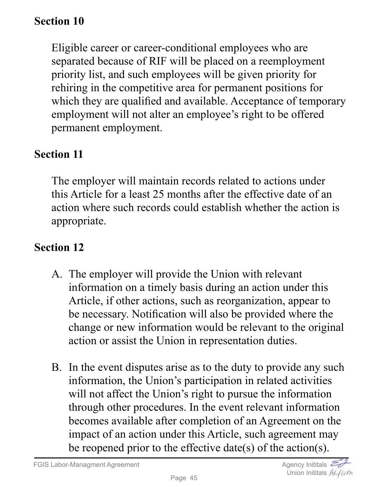Eligible career or career-conditional employees who are separated because of RIF will be placed on a reemployment priority list, and such employees will be given priority for rehiring in the competitive area for permanent positions for which they are qualified and available. Acceptance of temporary employment will not alter an employee's right to be offered permanent employment.

# **Section 11**

The employer will maintain records related to actions under this Article for a least 25 months after the effective date of an action where such records could establish whether the action is appropriate.

## **Section 12**

- A. The employer will provide the Union with relevant information on a timely basis during an action under this Article, if other actions, such as reorganization, appear to be necessary. Notification will also be provided where the change or new information would be relevant to the original action or assist the Union in representation duties.
- B. In the event disputes arise as to the duty to provide any such information, the Union's participation in related activities will not affect the Union's right to pursue the information through other procedures. In the event relevant information becomes available after completion of an Agreement on the impact of an action under this Article, such agreement may be reopened prior to the effective date(s) of the action(s).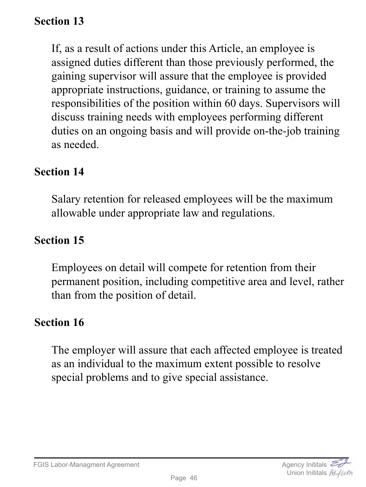If, as a result of actions under this Article, an employee is assigned duties different than those previously performed, the gaining supervisor will assure that the employee is provided appropriate instructions, guidance, or training to assume the responsibilities of the position within 60 days. Supervisors will discuss training needs with employees performing different duties on an ongoing basis and will provide on-the-job training as needed.

#### **Section 14**

Salary retention for released employees will be the maximum allowable under appropriate law and regulations.

#### **Section 15**

Employees on detail will compete for retention from their permanent position, including competitive area and level, rather than from the position of detail.

#### **Section 16**

The employer will assure that each affected employee is treated as an individual to the maximum extent possible to resolve special problems and to give special assistance.

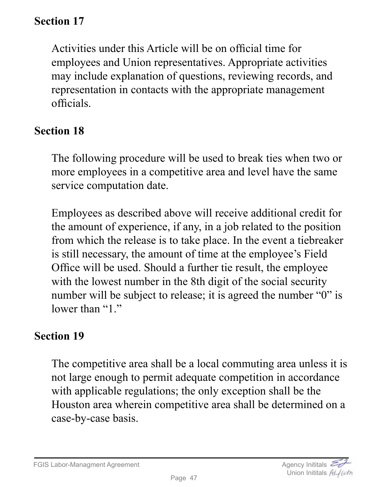Activities under this Article will be on official time for employees and Union representatives. Appropriate activities may include explanation of questions, reviewing records, and representation in contacts with the appropriate management officials.

## **Section 18**

The following procedure will be used to break ties when two or more employees in a competitive area and level have the same service computation date.

Employees as described above will receive additional credit for the amount of experience, if any, in a job related to the position from which the release is to take place. In the event a tiebreaker is still necessary, the amount of time at the employee's Field Office will be used. Should a further tie result, the employee with the lowest number in the 8th digit of the social security number will be subject to release; it is agreed the number "0" is lower than "1."

# **Section 19**

The competitive area shall be a local commuting area unless it is not large enough to permit adequate competition in accordance with applicable regulations; the only exception shall be the Houston area wherein competitive area shall be determined on a case-by-case basis.

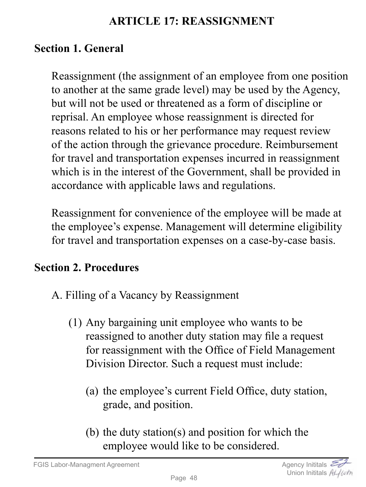### **ARTICLE 17: REASSIGNMENT**

# **Section 1. General**

Reassignment (the assignment of an employee from one position to another at the same grade level) may be used by the Agency, but will not be used or threatened as a form of discipline or reprisal. An employee whose reassignment is directed for reasons related to his or her performance may request review of the action through the grievance procedure. Reimbursement for travel and transportation expenses incurred in reassignment which is in the interest of the Government, shall be provided in accordance with applicable laws and regulations.

Reassignment for convenience of the employee will be made at the employee's expense. Management will determine eligibility for travel and transportation expenses on a case-by-case basis.

## **Section 2. Procedures**

- A. Filling of a Vacancy by Reassignment
	- (1) Any bargaining unit employee who wants to be reassigned to another duty station may file a request for reassignment with the Office of Field Management Division Director. Such a request must include:
		- (a) the employee's current Field Office, duty station, grade, and position.
		- (b) the duty station(s) and position for which the employee would like to be considered.

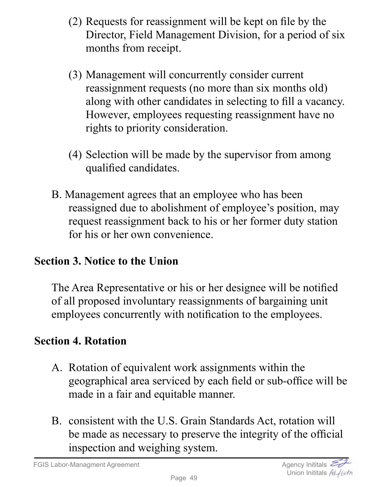- (2) Requests for reassignment will be kept on file by the Director, Field Management Division, for a period of six months from receipt.
- (3) Management will concurrently consider current reassignment requests (no more than six months old) along with other candidates in selecting to fill a vacancy. However, employees requesting reassignment have no rights to priority consideration.
- (4) Selection will be made by the supervisor from among qualified candidates.
- B. Management agrees that an employee who has been reassigned due to abolishment of employee's position, may request reassignment back to his or her former duty station for his or her own convenience.

# **Section 3. Notice to the Union**

The Area Representative or his or her designee will be notified of all proposed involuntary reassignments of bargaining unit employees concurrently with notification to the employees.

# **Section 4. Rotation**

- A. Rotation of equivalent work assignments within the geographical area serviced by each field or sub-office will be made in a fair and equitable manner.
- B. consistent with the U.S. Grain Standards Act, rotation will be made as necessary to preserve the integrity of the official inspection and weighing system.

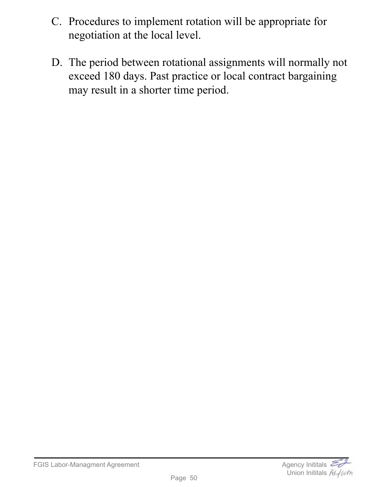- C. Procedures to implement rotation will be appropriate for negotiation at the local level.
- D. The period between rotational assignments will normally not exceed 180 days. Past practice or local contract bargaining may result in a shorter time period.

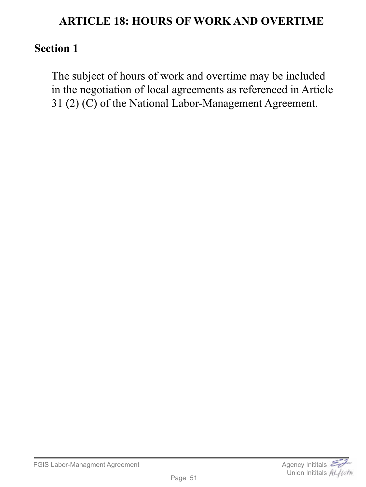#### **ARTICLE 18: HOURS OF WORK AND OVERTIME**

#### **Section 1**

The subject of hours of work and overtime may be included in the negotiation of local agreements as referenced in Article 31 (2) (C) of the National Labor-Management Agreement.

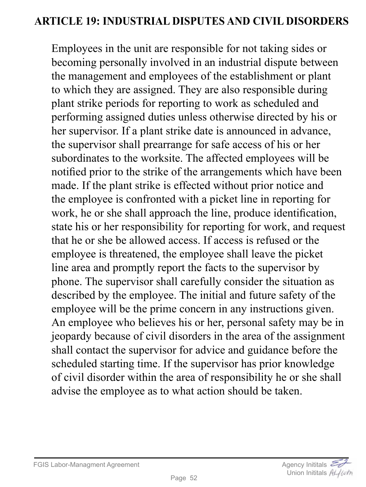#### **ARTICLE 19: INDUSTRIAL DISPUTES AND CIVIL DISORDERS**

Employees in the unit are responsible for not taking sides or becoming personally involved in an industrial dispute between the management and employees of the establishment or plant to which they are assigned. They are also responsible during plant strike periods for reporting to work as scheduled and performing assigned duties unless otherwise directed by his or her supervisor. If a plant strike date is announced in advance, the supervisor shall prearrange for safe access of his or her subordinates to the worksite. The affected employees will be notified prior to the strike of the arrangements which have been made. If the plant strike is effected without prior notice and the employee is confronted with a picket line in reporting for work, he or she shall approach the line, produce identification, state his or her responsibility for reporting for work, and request that he or she be allowed access. If access is refused or the employee is threatened, the employee shall leave the picket line area and promptly report the facts to the supervisor by phone. The supervisor shall carefully consider the situation as described by the employee. The initial and future safety of the employee will be the prime concern in any instructions given. An employee who believes his or her, personal safety may be in jeopardy because of civil disorders in the area of the assignment shall contact the supervisor for advice and guidance before the scheduled starting time. If the supervisor has prior knowledge of civil disorder within the area of responsibility he or she shall advise the employee as to what action should be taken.

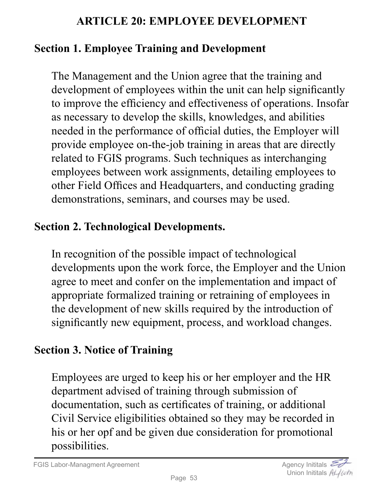## **ARTICLE 20: EMPLOYEE DEVELOPMENT**

## **Section 1. Employee Training and Development**

The Management and the Union agree that the training and development of employees within the unit can help significantly to improve the efficiency and effectiveness of operations. Insofar as necessary to develop the skills, knowledges, and abilities needed in the performance of official duties, the Employer will provide employee on-the-job training in areas that are directly related to FGIS programs. Such techniques as interchanging employees between work assignments, detailing employees to other Field Offices and Headquarters, and conducting grading demonstrations, seminars, and courses may be used.

## **Section 2. Technological Developments.**

In recognition of the possible impact of technological developments upon the work force, the Employer and the Union agree to meet and confer on the implementation and impact of appropriate formalized training or retraining of employees in the development of new skills required by the introduction of significantly new equipment, process, and workload changes.

# **Section 3. Notice of Training**

Employees are urged to keep his or her employer and the HR department advised of training through submission of documentation, such as certificates of training, or additional Civil Service eligibilities obtained so they may be recorded in his or her opf and be given due consideration for promotional possibilities.

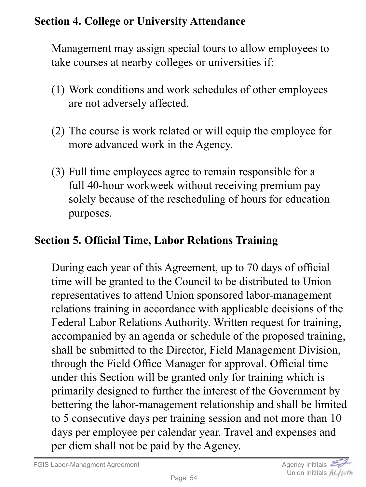## **Section 4. College or University Attendance**

Management may assign special tours to allow employees to take courses at nearby colleges or universities if:

- (1) Work conditions and work schedules of other employees are not adversely affected.
- (2) The course is work related or will equip the employee for more advanced work in the Agency.
- (3) Full time employees agree to remain responsible for a full 40-hour workweek without receiving premium pay solely because of the rescheduling of hours for education purposes.

# **Section 5. Official Time, Labor Relations Training**

During each year of this Agreement, up to 70 days of official time will be granted to the Council to be distributed to Union representatives to attend Union sponsored labor-management relations training in accordance with applicable decisions of the Federal Labor Relations Authority. Written request for training, accompanied by an agenda or schedule of the proposed training, shall be submitted to the Director, Field Management Division, through the Field Office Manager for approval. Official time under this Section will be granted only for training which is primarily designed to further the interest of the Government by bettering the labor-management relationship and shall be limited to 5 consecutive days per training session and not more than 10 days per employee per calendar year. Travel and expenses and per diem shall not be paid by the Agency.

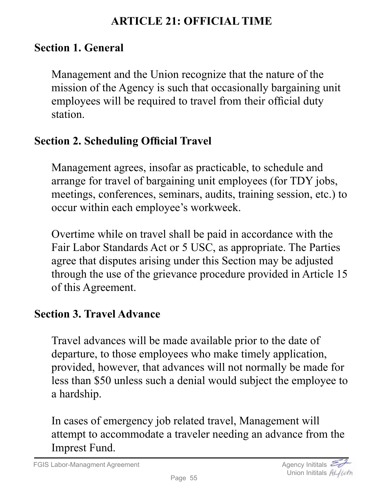## **ARTICLE 21: OFFICIAL TIME**

#### **Section 1. General**

Management and the Union recognize that the nature of the mission of the Agency is such that occasionally bargaining unit employees will be required to travel from their official duty station.

## **Section 2. Scheduling Official Travel**

Management agrees, insofar as practicable, to schedule and arrange for travel of bargaining unit employees (for TDY jobs, meetings, conferences, seminars, audits, training session, etc.) to occur within each employee's workweek.

Overtime while on travel shall be paid in accordance with the Fair Labor Standards Act or 5 USC, as appropriate. The Parties agree that disputes arising under this Section may be adjusted through the use of the grievance procedure provided in Article 15 of this Agreement.

## **Section 3. Travel Advance**

Travel advances will be made available prior to the date of departure, to those employees who make timely application, provided, however, that advances will not normally be made for less than \$50 unless such a denial would subject the employee to a hardship.

In cases of emergency job related travel, Management will attempt to accommodate a traveler needing an advance from the Imprest Fund.

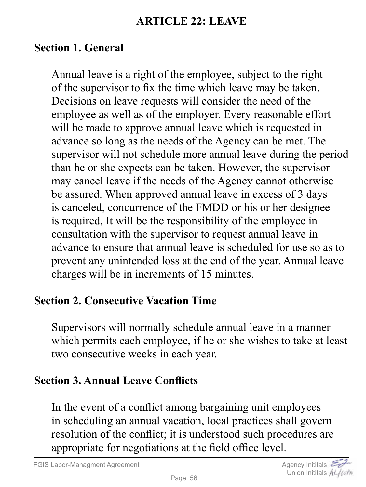#### **ARTICLE 22: LEAVE**

#### **Section 1. General**

Annual leave is a right of the employee, subject to the right of the supervisor to fix the time which leave may be taken. Decisions on leave requests will consider the need of the employee as well as of the employer. Every reasonable effort will be made to approve annual leave which is requested in advance so long as the needs of the Agency can be met. The supervisor will not schedule more annual leave during the period than he or she expects can be taken. However, the supervisor may cancel leave if the needs of the Agency cannot otherwise be assured. When approved annual leave in excess of 3 days is canceled, concurrence of the FMDD or his or her designee is required, It will be the responsibility of the employee in consultation with the supervisor to request annual leave in advance to ensure that annual leave is scheduled for use so as to prevent any unintended loss at the end of the year. Annual leave charges will be in increments of 15 minutes.

#### **Section 2. Consecutive Vacation Time**

Supervisors will normally schedule annual leave in a manner which permits each employee, if he or she wishes to take at least two consecutive weeks in each year.

#### **Section 3. Annual Leave Conflicts**

In the event of a conflict among bargaining unit employees in scheduling an annual vacation, local practices shall govern resolution of the conflict; it is understood such procedures are appropriate for negotiations at the field office level.

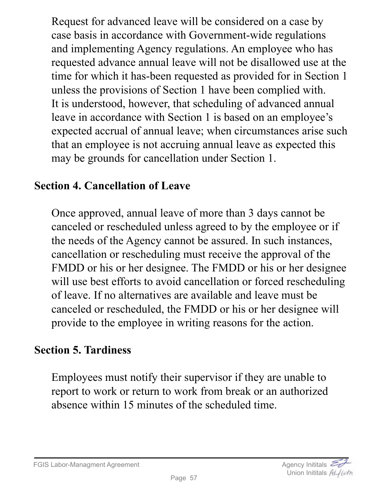Request for advanced leave will be considered on a case by case basis in accordance with Government-wide regulations and implementing Agency regulations. An employee who has requested advance annual leave will not be disallowed use at the time for which it has-been requested as provided for in Section 1 unless the provisions of Section 1 have been complied with. It is understood, however, that scheduling of advanced annual leave in accordance with Section 1 is based on an employee's expected accrual of annual leave; when circumstances arise such that an employee is not accruing annual leave as expected this may be grounds for cancellation under Section 1.

## **Section 4. Cancellation of Leave**

Once approved, annual leave of more than 3 days cannot be canceled or rescheduled unless agreed to by the employee or if the needs of the Agency cannot be assured. In such instances, cancellation or rescheduling must receive the approval of the FMDD or his or her designee. The FMDD or his or her designee will use best efforts to avoid cancellation or forced rescheduling of leave. If no alternatives are available and leave must be canceled or rescheduled, the FMDD or his or her designee will provide to the employee in writing reasons for the action.

## **Section 5. Tardiness**

Employees must notify their supervisor if they are unable to report to work or return to work from break or an authorized absence within 15 minutes of the scheduled time.

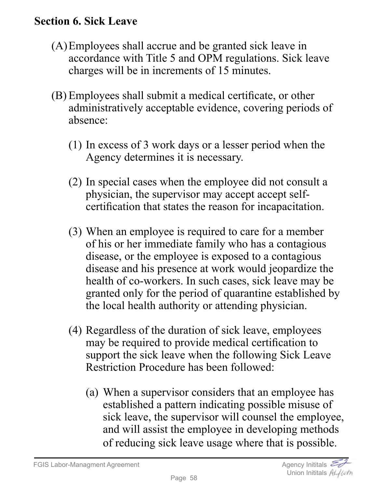## **Section 6. Sick Leave**

- (A)Employees shall accrue and be granted sick leave in accordance with Title 5 and OPM regulations. Sick leave charges will be in increments of 15 minutes.
- (B) Employees shall submit a medical certificate, or other administratively acceptable evidence, covering periods of absence:
	- (1) In excess of 3 work days or a lesser period when the Agency determines it is necessary.
	- (2) In special cases when the employee did not consult a physician, the supervisor may accept accept selfcertification that states the reason for incapacitation.
	- (3) When an employee is required to care for a member of his or her immediate family who has a contagious disease, or the employee is exposed to a contagious disease and his presence at work would jeopardize the health of co-workers. In such cases, sick leave may be granted only for the period of quarantine established by the local health authority or attending physician.
	- (4) Regardless of the duration of sick leave, employees may be required to provide medical certification to support the sick leave when the following Sick Leave Restriction Procedure has been followed:
		- (a) When a supervisor considers that an employee has established a pattern indicating possible misuse of sick leave, the supervisor will counsel the employee, and will assist the employee in developing methods of reducing sick leave usage where that is possible.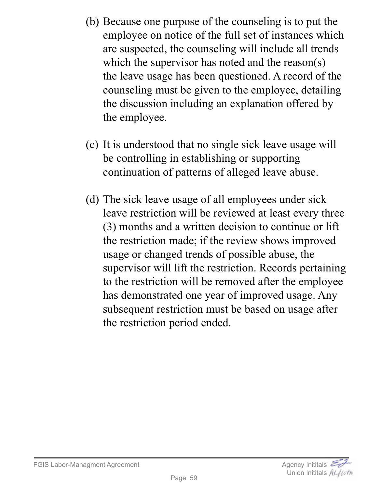- (b) Because one purpose of the counseling is to put the employee on notice of the full set of instances which are suspected, the counseling will include all trends which the supervisor has noted and the reason(s) the leave usage has been questioned. A record of the counseling must be given to the employee, detailing the discussion including an explanation offered by the employee.
- (c) It is understood that no single sick leave usage will be controlling in establishing or supporting continuation of patterns of alleged leave abuse.
- (d) The sick leave usage of all employees under sick leave restriction will be reviewed at least every three (3) months and a written decision to continue or lift the restriction made; if the review shows improved usage or changed trends of possible abuse, the supervisor will lift the restriction. Records pertaining to the restriction will be removed after the employee has demonstrated one year of improved usage. Any subsequent restriction must be based on usage after the restriction period ended.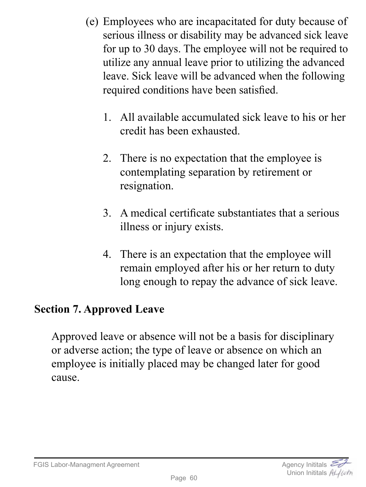- (e) Employees who are incapacitated for duty because of serious illness or disability may be advanced sick leave for up to 30 days. The employee will not be required to utilize any annual leave prior to utilizing the advanced leave. Sick leave will be advanced when the following required conditions have been satisfied.
	- 1. All available accumulated sick leave to his or her credit has been exhausted.
	- 2. There is no expectation that the employee is contemplating separation by retirement or resignation.
	- 3. A medical certificate substantiates that a serious illness or injury exists.
	- 4. There is an expectation that the employee will remain employed after his or her return to duty long enough to repay the advance of sick leave.

## **Section 7. Approved Leave**

Approved leave or absence will not be a basis for disciplinary or adverse action; the type of leave or absence on which an employee is initially placed may be changed later for good cause.



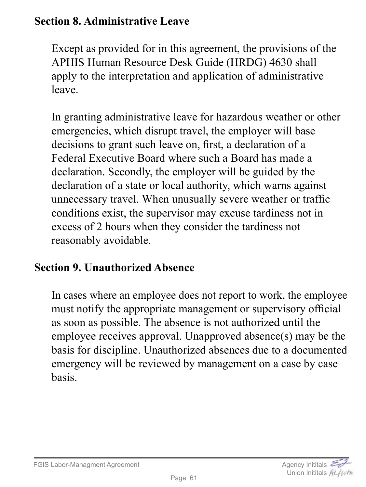## **Section 8. Administrative Leave**

Except as provided for in this agreement, the provisions of the APHIS Human Resource Desk Guide (HRDG) 4630 shall apply to the interpretation and application of administrative leave.

In granting administrative leave for hazardous weather or other emergencies, which disrupt travel, the employer will base decisions to grant such leave on, first, a declaration of a Federal Executive Board where such a Board has made a declaration. Secondly, the employer will be guided by the declaration of a state or local authority, which warns against unnecessary travel. When unusually severe weather or traffic conditions exist, the supervisor may excuse tardiness not in excess of 2 hours when they consider the tardiness not reasonably avoidable.

## **Section 9. Unauthorized Absence**

In cases where an employee does not report to work, the employee must notify the appropriate management or supervisory official as soon as possible. The absence is not authorized until the employee receives approval. Unapproved absence(s) may be the basis for discipline. Unauthorized absences due to a documented emergency will be reviewed by management on a case by case basis.

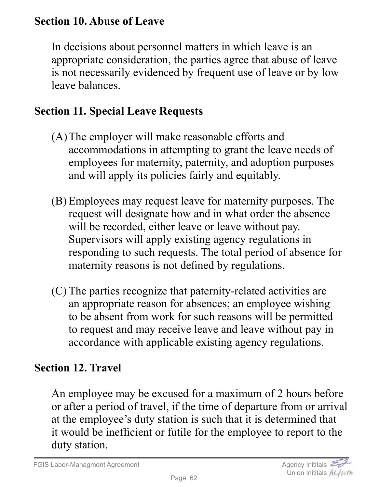## **Section 10. Abuse of Leave**

In decisions about personnel matters in which leave is an appropriate consideration, the parties agree that abuse of leave is not necessarily evidenced by frequent use of leave or by low leave balances.

#### **Section 11. Special Leave Requests**

- (A)The employer will make reasonable efforts and accommodations in attempting to grant the leave needs of employees for maternity, paternity, and adoption purposes and will apply its policies fairly and equitably.
- (B) Employees may request leave for maternity purposes. The request will designate how and in what order the absence will be recorded, either leave or leave without pay. Supervisors will apply existing agency regulations in responding to such requests. The total period of absence for maternity reasons is not defined by regulations.
- (C) The parties recognize that paternity-related activities are an appropriate reason for absences; an employee wishing to be absent from work for such reasons will be permitted to request and may receive leave and leave without pay in accordance with applicable existing agency regulations.

## **Section 12. Travel**

An employee may be excused for a maximum of 2 hours before or after a period of travel, if the time of departure from or arrival at the employee's duty station is such that it is determined that it would be inefficient or futile for the employee to report to the duty station.

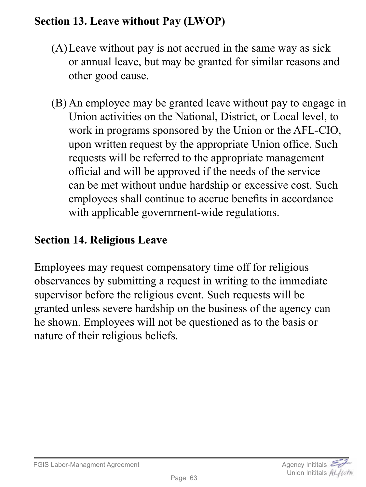# **Section 13. Leave without Pay (LWOP)**

- (A)Leave without pay is not accrued in the same way as sick or annual leave, but may be granted for similar reasons and other good cause.
- (B) An employee may be granted leave without pay to engage in Union activities on the National, District, or Local level, to work in programs sponsored by the Union or the AFL-CIO, upon written request by the appropriate Union office. Such requests will be referred to the appropriate management official and will be approved if the needs of the service can be met without undue hardship or excessive cost. Such employees shall continue to accrue benefits in accordance with applicable governrnent-wide regulations.

## **Section 14. Religious Leave**

Employees may request compensatory time off for religious observances by submitting a request in writing to the immediate supervisor before the religious event. Such requests will be granted unless severe hardship on the business of the agency can he shown. Employees will not be questioned as to the basis or nature of their religious beliefs.

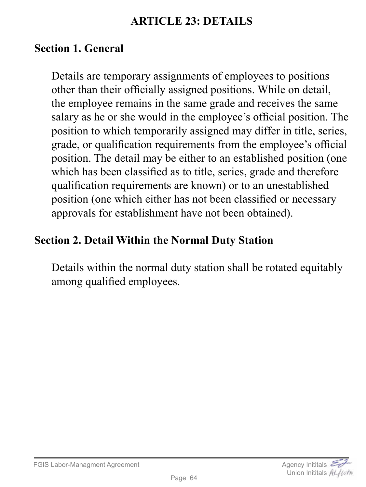## **ARTICLE 23: DETAILS**

#### **Section 1. General**

Details are temporary assignments of employees to positions other than their officially assigned positions. While on detail, the employee remains in the same grade and receives the same salary as he or she would in the employee's official position. The position to which temporarily assigned may differ in title, series, grade, or qualification requirements from the employee's official position. The detail may be either to an established position (one which has been classified as to title, series, grade and therefore qualification requirements are known) or to an unestablished position (one which either has not been classified or necessary approvals for establishment have not been obtained).

## **Section 2. Detail Within the Normal Duty Station**

Details within the normal duty station shall be rotated equitably among qualified employees.

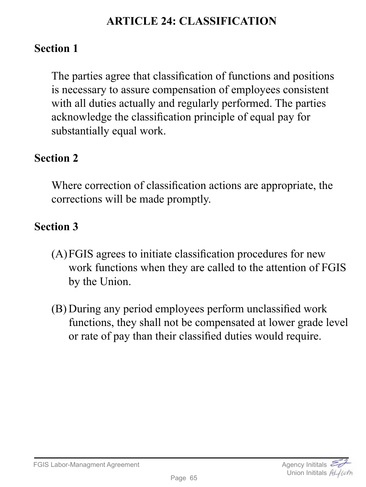# **ARTICLE 24: CLASSIFICATION**

#### **Section 1**

The parties agree that classification of functions and positions is necessary to assure compensation of employees consistent with all duties actually and regularly performed. The parties acknowledge the classification principle of equal pay for substantially equal work.

#### **Section 2**

Where correction of classification actions are appropriate, the corrections will be made promptly.

## **Section 3**

- (A)FGIS agrees to initiate classification procedures for new work functions when they are called to the attention of FGIS by the Union.
- (B) During any period employees perform unclassified work functions, they shall not be compensated at lower grade level or rate of pay than their classified duties would require.

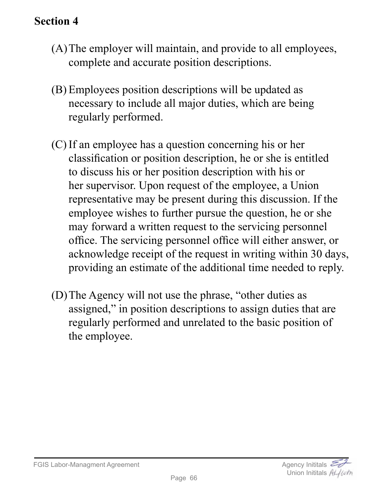- (A)The employer will maintain, and provide to all employees, complete and accurate position descriptions.
- (B) Employees position descriptions will be updated as necessary to include all major duties, which are being regularly performed.
- (C) If an employee has a question concerning his or her classification or position description, he or she is entitled to discuss his or her position description with his or her supervisor. Upon request of the employee, a Union representative may be present during this discussion. If the employee wishes to further pursue the question, he or she may forward a written request to the servicing personnel office. The servicing personnel office will either answer, or acknowledge receipt of the request in writing within 30 days, providing an estimate of the additional time needed to reply.
- (D)The Agency will not use the phrase, "other duties as assigned," in position descriptions to assign duties that are regularly performed and unrelated to the basic position of the employee.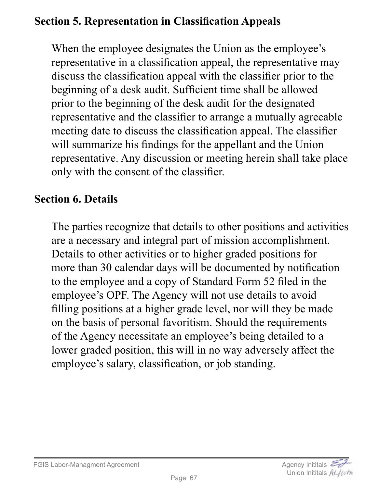# **Section 5. Representation in Classification Appeals**

When the employee designates the Union as the employee's representative in a classification appeal, the representative may discuss the classification appeal with the classifier prior to the beginning of a desk audit. Sufficient time shall be allowed prior to the beginning of the desk audit for the designated representative and the classifier to arrange a mutually agreeable meeting date to discuss the classification appeal. The classifier will summarize his findings for the appellant and the Union representative. Any discussion or meeting herein shall take place only with the consent of the classifier.

#### **Section 6. Details**

The parties recognize that details to other positions and activities are a necessary and integral part of mission accomplishment. Details to other activities or to higher graded positions for more than 30 calendar days will be documented by notification to the employee and a copy of Standard Form 52 filed in the employee's OPF. The Agency will not use details to avoid filling positions at a higher grade level, nor will they be made on the basis of personal favoritism. Should the requirements of the Agency necessitate an employee's being detailed to a lower graded position, this will in no way adversely affect the employee's salary, classification, or job standing.

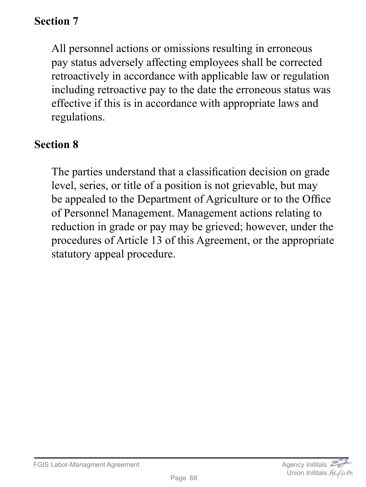All personnel actions or omissions resulting in erroneous pay status adversely affecting employees shall be corrected retroactively in accordance with applicable law or regulation including retroactive pay to the date the erroneous status was effective if this is in accordance with appropriate laws and regulations.

#### **Section 8**

The parties understand that a classification decision on grade level, series, or title of a position is not grievable, but may be appealed to the Department of Agriculture or to the Office of Personnel Management. Management actions relating to reduction in grade or pay may be grieved; however, under the procedures of Article 13 of this Agreement, or the appropriate statutory appeal procedure.

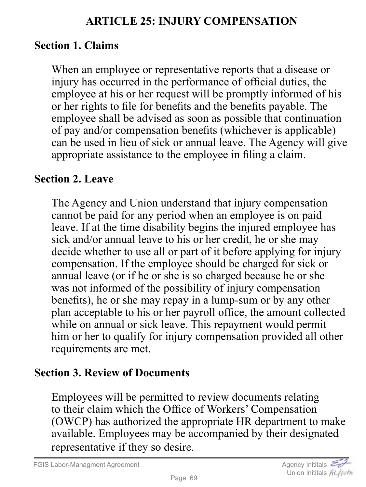### **ARTICLE 25: INJURY COMPENSATION**

#### **Section 1. Claims**

When an employee or representative reports that a disease or injury has occurred in the performance of official duties, the employee at his or her request will be promptly informed of his or her rights to file for benefits and the benefits payable. The employee shall be advised as soon as possible that continuation of pay and/or compensation benefits (whichever is applicable) can be used in lieu of sick or annual leave. The Agency will give appropriate assistance to the employee in filing a claim.

#### **Section 2. Leave**

The Agency and Union understand that injury compensation cannot be paid for any period when an employee is on paid leave. If at the time disability begins the injured employee has sick and/or annual leave to his or her credit, he or she may decide whether to use all or part of it before applying for injury compensation. If the employee should be charged for sick or annual leave (or if he or she is so charged because he or she was not informed of the possibility of injury compensation benefits), he or she may repay in a lump-sum or by any other plan acceptable to his or her payroll office, the amount collected while on annual or sick leave. This repayment would permit him or her to qualify for injury compensation provided all other requirements are met.

#### **Section 3. Review of Documents**

Employees will be permitted to review documents relating to their claim which the Office of Workers' Compensation (OWCP) has authorized the appropriate HR department to make available. Employees may be accompanied by their designated representative if they so desire.

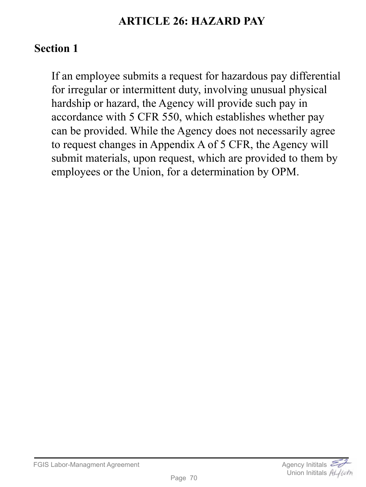## **ARTICLE 26: HAZARD PAY**

## **Section 1**

If an employee submits a request for hazardous pay differential for irregular or intermittent duty, involving unusual physical hardship or hazard, the Agency will provide such pay in accordance with 5 CFR 550, which establishes whether pay can be provided. While the Agency does not necessarily agree to request changes in Appendix A of 5 CFR, the Agency will submit materials, upon request, which are provided to them by employees or the Union, for a determination by OPM.

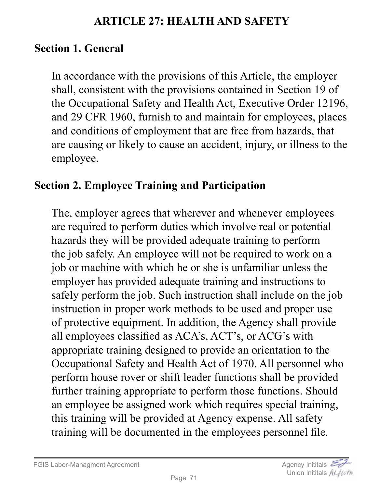#### **ARTICLE 27: HEALTH AND SAFETY**

## **Section 1. General**

In accordance with the provisions of this Article, the employer shall, consistent with the provisions contained in Section 19 of the Occupational Safety and Health Act, Executive Order 12196, and 29 CFR 1960, furnish to and maintain for employees, places and conditions of employment that are free from hazards, that are causing or likely to cause an accident, injury, or illness to the employee.

#### **Section 2. Employee Training and Participation**

The, employer agrees that wherever and whenever employees are required to perform duties which involve real or potential hazards they will be provided adequate training to perform the job safely. An employee will not be required to work on a job or machine with which he or she is unfamiliar unless the employer has provided adequate training and instructions to safely perform the job. Such instruction shall include on the job instruction in proper work methods to be used and proper use of protective equipment. In addition, the Agency shall provide all employees classified as ACA's, ACT's, or ACG's with appropriate training designed to provide an orientation to the Occupational Safety and Health Act of 1970. All personnel who perform house rover or shift leader functions shall be provided further training appropriate to perform those functions. Should an employee be assigned work which requires special training, this training will be provided at Agency expense. All safety training will be documented in the employees personnel file.

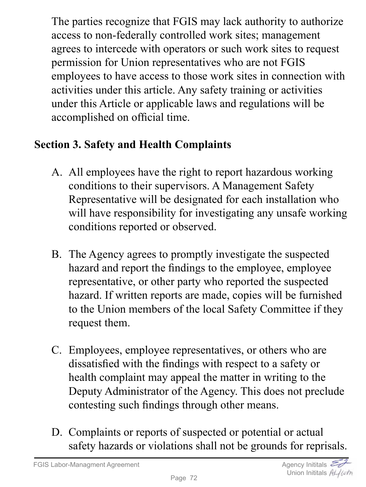The parties recognize that FGIS may lack authority to authorize access to non-federally controlled work sites; management agrees to intercede with operators or such work sites to request permission for Union representatives who are not FGIS employees to have access to those work sites in connection with activities under this article. Any safety training or activities under this Article or applicable laws and regulations will be accomplished on official time.

# **Section 3. Safety and Health Complaints**

- A. All employees have the right to report hazardous working conditions to their supervisors. A Management Safety Representative will be designated for each installation who will have responsibility for investigating any unsafe working conditions reported or observed.
- B. The Agency agrees to promptly investigate the suspected hazard and report the findings to the employee, employee representative, or other party who reported the suspected hazard. If written reports are made, copies will be furnished to the Union members of the local Safety Committee if they request them.
- C. Employees, employee representatives, or others who are dissatisfied with the findings with respect to a safety or health complaint may appeal the matter in writing to the Deputy Administrator of the Agency. This does not preclude contesting such findings through other means.
- D. Complaints or reports of suspected or potential or actual safety hazards or violations shall not be grounds for reprisals.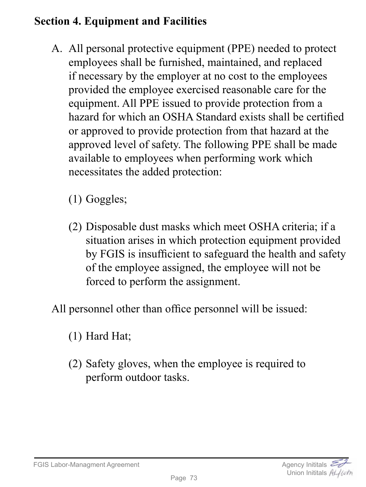# **Section 4. Equipment and Facilities**

- A. All personal protective equipment (PPE) needed to protect employees shall be furnished, maintained, and replaced if necessary by the employer at no cost to the employees provided the employee exercised reasonable care for the equipment. All PPE issued to provide protection from a hazard for which an OSHA Standard exists shall be certified or approved to provide protection from that hazard at the approved level of safety. The following PPE shall be made available to employees when performing work which necessitates the added protection:
	- (1) Goggles;
	- (2) Disposable dust masks which meet OSHA criteria; if a situation arises in which protection equipment provided by FGIS is insufficient to safeguard the health and safety of the employee assigned, the employee will not be forced to perform the assignment.
- All personnel other than office personnel will be issued:
	- (1) Hard Hat;
	- (2) Safety gloves, when the employee is required to perform outdoor tasks.



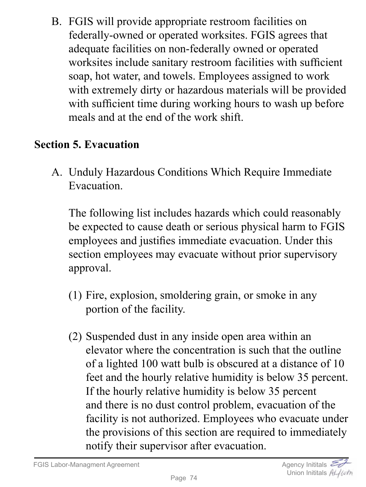B. FGIS will provide appropriate restroom facilities on federally-owned or operated worksites. FGIS agrees that adequate facilities on non-federally owned or operated worksites include sanitary restroom facilities with sufficient soap, hot water, and towels. Employees assigned to work with extremely dirty or hazardous materials will be provided with sufficient time during working hours to wash up before meals and at the end of the work shift.

# **Section 5. Evacuation**

A. Unduly Hazardous Conditions Which Require Immediate Evacuation.

The following list includes hazards which could reasonably be expected to cause death or serious physical harm to FGIS employees and justifies immediate evacuation. Under this section employees may evacuate without prior supervisory approval.

- (1) Fire, explosion, smoldering grain, or smoke in any portion of the facility.
- (2) Suspended dust in any inside open area within an elevator where the concentration is such that the outline of a lighted 100 watt bulb is obscured at a distance of 10 feet and the hourly relative humidity is below 35 percent. If the hourly relative humidity is below 35 percent and there is no dust control problem, evacuation of the facility is not authorized. Employees who evacuate under the provisions of this section are required to immediately notify their supervisor after evacuation.

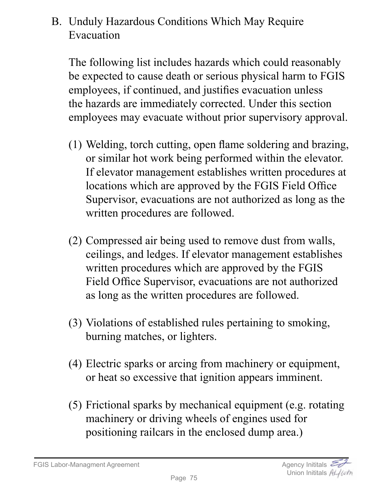# B. Unduly Hazardous Conditions Which May Require Evacuation

The following list includes hazards which could reasonably be expected to cause death or serious physical harm to FGIS employees, if continued, and justifies evacuation unless the hazards are immediately corrected. Under this section employees may evacuate without prior supervisory approval.

- (1) Welding, torch cutting, open flame soldering and brazing, or similar hot work being performed within the elevator. If elevator management establishes written procedures at locations which are approved by the FGIS Field Office Supervisor, evacuations are not authorized as long as the written procedures are followed.
- (2) Compressed air being used to remove dust from walls, ceilings, and ledges. If elevator management establishes written procedures which are approved by the FGIS Field Office Supervisor, evacuations are not authorized as long as the written procedures are followed.
- (3) Violations of established rules pertaining to smoking, burning matches, or lighters.
- (4) Electric sparks or arcing from machinery or equipment, or heat so excessive that ignition appears imminent.
- (5) Frictional sparks by mechanical equipment (e.g. rotating machinery or driving wheels of engines used for positioning railcars in the enclosed dump area.)

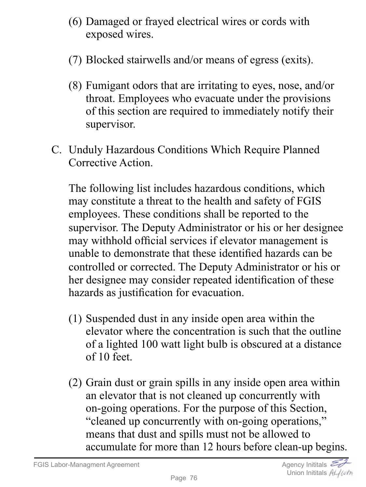- (6) Damaged or frayed electrical wires or cords with exposed wires.
- (7) Blocked stairwells and/or means of egress (exits).
- (8) Fumigant odors that are irritating to eyes, nose, and/or throat. Employees who evacuate under the provisions of this section are required to immediately notify their supervisor.
- C. Unduly Hazardous Conditions Which Require Planned Corrective Action.

The following list includes hazardous conditions, which may constitute a threat to the health and safety of FGIS employees. These conditions shall be reported to the supervisor. The Deputy Administrator or his or her designee may withhold official services if elevator management is unable to demonstrate that these identified hazards can be controlled or corrected. The Deputy Administrator or his or her designee may consider repeated identification of these hazards as justification for evacuation.

- (1) Suspended dust in any inside open area within the elevator where the concentration is such that the outline of a lighted 100 watt light bulb is obscured at a distance of 10 feet.
- (2) Grain dust or grain spills in any inside open area within an elevator that is not cleaned up concurrently with on-going operations. For the purpose of this Section, "cleaned up concurrently with on-going operations," means that dust and spills must not be allowed to accumulate for more than 12 hours before clean-up begins.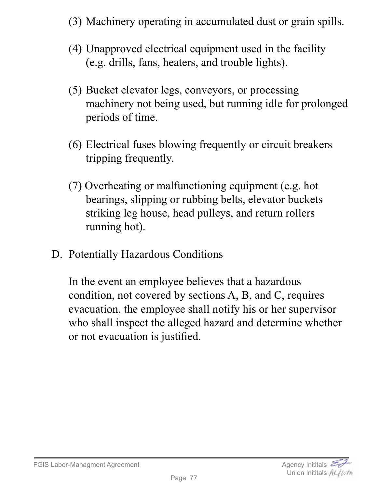- (3) Machinery operating in accumulated dust or grain spills.
- (4) Unapproved electrical equipment used in the facility (e.g. drills, fans, heaters, and trouble lights).
- (5) Bucket elevator legs, conveyors, or processing machinery not being used, but running idle for prolonged periods of time.
- (6) Electrical fuses blowing frequently or circuit breakers tripping frequently.
- (7) Overheating or malfunctioning equipment (e.g. hot bearings, slipping or rubbing belts, elevator buckets striking leg house, head pulleys, and return rollers running hot).
- D. Potentially Hazardous Conditions

In the event an employee believes that a hazardous condition, not covered by sections A, B, and C, requires evacuation, the employee shall notify his or her supervisor who shall inspect the alleged hazard and determine whether or not evacuation is justified.

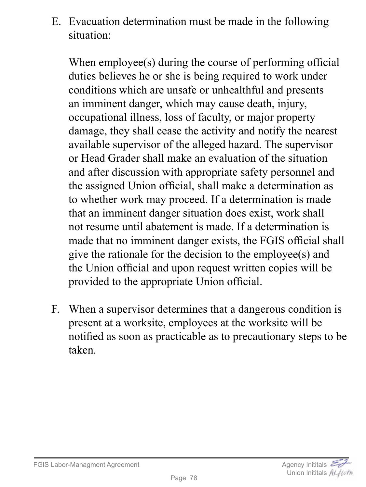E. Evacuation determination must be made in the following situation:

When employee(s) during the course of performing official duties believes he or she is being required to work under conditions which are unsafe or unhealthful and presents an imminent danger, which may cause death, injury, occupational illness, loss of faculty, or major property damage, they shall cease the activity and notify the nearest available supervisor of the alleged hazard. The supervisor or Head Grader shall make an evaluation of the situation and after discussion with appropriate safety personnel and the assigned Union official, shall make a determination as to whether work may proceed. If a determination is made that an imminent danger situation does exist, work shall not resume until abatement is made. If a determination is made that no imminent danger exists, the FGIS official shall give the rationale for the decision to the employee(s) and the Union official and upon request written copies will be provided to the appropriate Union official.

F. When a supervisor determines that a dangerous condition is present at a worksite, employees at the worksite will be notified as soon as practicable as to precautionary steps to be taken.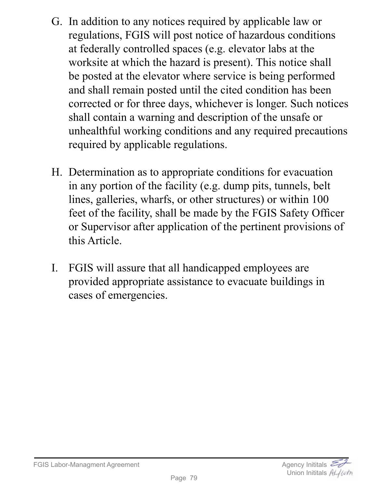- G. In addition to any notices required by applicable law or regulations, FGIS will post notice of hazardous conditions at federally controlled spaces (e.g. elevator labs at the worksite at which the hazard is present). This notice shall be posted at the elevator where service is being performed and shall remain posted until the cited condition has been corrected or for three days, whichever is longer. Such notices shall contain a warning and description of the unsafe or unhealthful working conditions and any required precautions required by applicable regulations.
- H. Determination as to appropriate conditions for evacuation in any portion of the facility (e.g. dump pits, tunnels, belt lines, galleries, wharfs, or other structures) or within 100 feet of the facility, shall be made by the FGIS Safety Officer or Supervisor after application of the pertinent provisions of this Article.
- I. FGIS will assure that all handicapped employees are provided appropriate assistance to evacuate buildings in cases of emergencies.

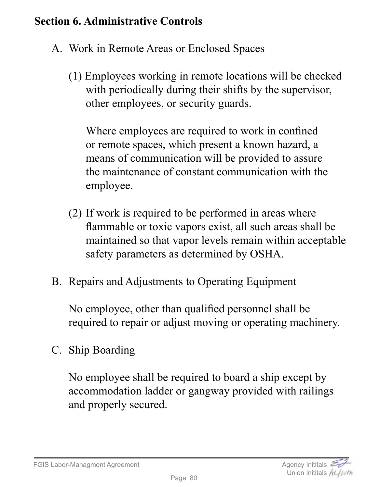## **Section 6. Administrative Controls**

- A. Work in Remote Areas or Enclosed Spaces
	- (1) Employees working in remote locations will be checked with periodically during their shifts by the supervisor, other employees, or security guards.

Where employees are required to work in confined or remote spaces, which present a known hazard, a means of communication will be provided to assure the maintenance of constant communication with the employee.

- (2) If work is required to be performed in areas where flammable or toxic vapors exist, all such areas shall be maintained so that vapor levels remain within acceptable safety parameters as determined by OSHA.
- B. Repairs and Adjustments to Operating Equipment

No employee, other than qualified personnel shall be required to repair or adjust moving or operating machinery.

C. Ship Boarding

No employee shall be required to board a ship except by accommodation ladder or gangway provided with railings and properly secured.

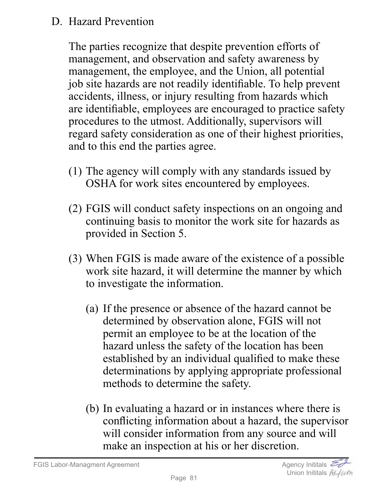## D. Hazard Prevention

The parties recognize that despite prevention efforts of management, and observation and safety awareness by management, the employee, and the Union, all potential job site hazards are not readily identifiable. To help prevent accidents, illness, or injury resulting from hazards which are identifiable, employees are encouraged to practice safety procedures to the utmost. Additionally, supervisors will regard safety consideration as one of their highest priorities, and to this end the parties agree.

- (1) The agency will comply with any standards issued by OSHA for work sites encountered by employees.
- (2) FGIS will conduct safety inspections on an ongoing and continuing basis to monitor the work site for hazards as provided in Section 5.
- (3) When FGIS is made aware of the existence of a possible work site hazard, it will determine the manner by which to investigate the information.
	- (a) If the presence or absence of the hazard cannot be determined by observation alone, FGIS will not permit an employee to be at the location of the hazard unless the safety of the location has been established by an individual qualified to make these determinations by applying appropriate professional methods to determine the safety.
	- (b) In evaluating a hazard or in instances where there is conflicting information about a hazard, the supervisor will consider information from any source and will make an inspection at his or her discretion.

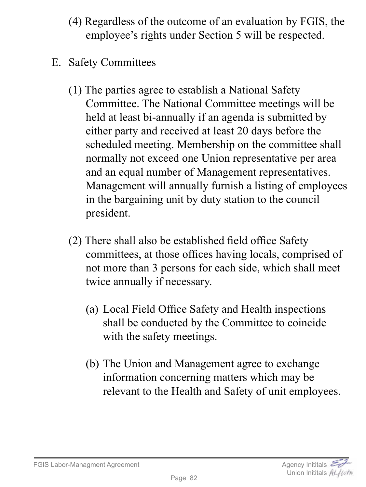- (4) Regardless of the outcome of an evaluation by FGIS, the employee's rights under Section 5 will be respected.
- E. Safety Committees
	- (1) The parties agree to establish a National Safety Committee. The National Committee meetings will be held at least bi-annually if an agenda is submitted by either party and received at least 20 days before the scheduled meeting. Membership on the committee shall normally not exceed one Union representative per area and an equal number of Management representatives. Management will annually furnish a listing of employees in the bargaining unit by duty station to the council president.
	- (2) There shall also be established field office Safety committees, at those offices having locals, comprised of not more than 3 persons for each side, which shall meet twice annually if necessary.
		- (a) Local Field Office Safety and Health inspections shall be conducted by the Committee to coincide with the safety meetings.
		- (b) The Union and Management agree to exchange information concerning matters which may be relevant to the Health and Safety of unit employees.

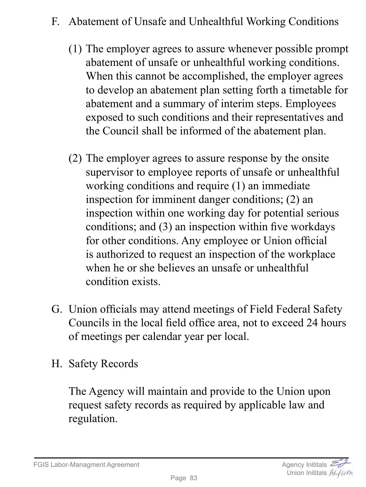- F. Abatement of Unsafe and Unhealthful Working Conditions
	- (1) The employer agrees to assure whenever possible prompt abatement of unsafe or unhealthful working conditions. When this cannot be accomplished, the employer agrees to develop an abatement plan setting forth a timetable for abatement and a summary of interim steps. Employees exposed to such conditions and their representatives and the Council shall be informed of the abatement plan.
	- (2) The employer agrees to assure response by the onsite supervisor to employee reports of unsafe or unhealthful working conditions and require (1) an immediate inspection for imminent danger conditions; (2) an inspection within one working day for potential serious conditions; and (3) an inspection within five workdays for other conditions. Any employee or Union official is authorized to request an inspection of the workplace when he or she believes an unsafe or unhealthful condition exists.
- G. Union officials may attend meetings of Field Federal Safety Councils in the local field office area, not to exceed 24 hours of meetings per calendar year per local.
- H. Safety Records

The Agency will maintain and provide to the Union upon request safety records as required by applicable law and regulation.

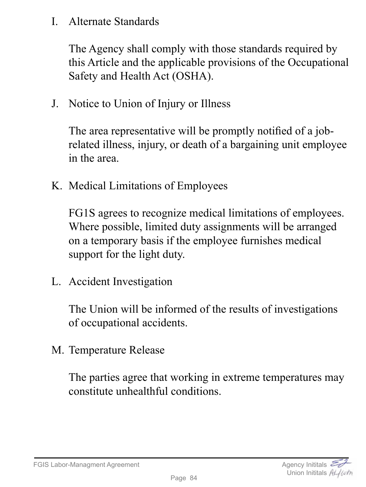I. Alternate Standards

The Agency shall comply with those standards required by this Article and the applicable provisions of the Occupational Safety and Health Act (OSHA).

J. Notice to Union of Injury or Illness

The area representative will be promptly notified of a jobrelated illness, injury, or death of a bargaining unit employee in the area.

K. Medical Limitations of Employees

FG1S agrees to recognize medical limitations of employees. Where possible, limited duty assignments will be arranged on a temporary basis if the employee furnishes medical support for the light duty.

L. Accident Investigation

The Union will be informed of the results of investigations of occupational accidents.

M. Temperature Release

The parties agree that working in extreme temperatures may constitute unhealthful conditions.

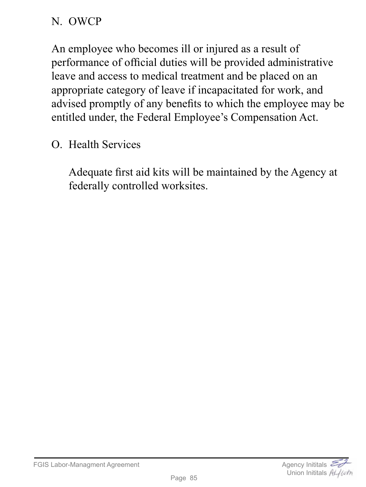## N. OWCP

An employee who becomes ill or injured as a result of performance of official duties will be provided administrative leave and access to medical treatment and be placed on an appropriate category of leave if incapacitated for work, and advised promptly of any benefits to which the employee may be entitled under, the Federal Employee's Compensation Act.

O. Health Services

Adequate first aid kits will be maintained by the Agency at federally controlled worksites.

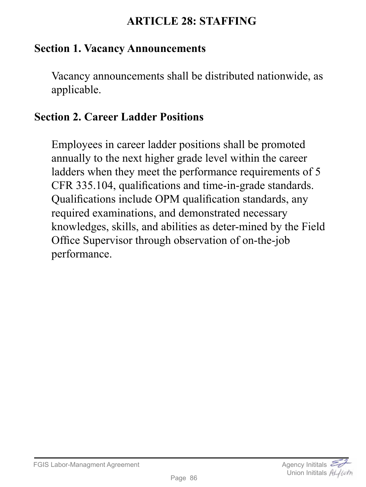## **ARTICLE 28: STAFFING**

#### **Section 1. Vacancy Announcements**

Vacancy announcements shall be distributed nationwide, as applicable.

#### **Section 2. Career Ladder Positions**

Employees in career ladder positions shall be promoted annually to the next higher grade level within the career ladders when they meet the performance requirements of 5 CFR 335.104, qualifications and time-in-grade standards. Qualifications include OPM qualification standards, any required examinations, and demonstrated necessary knowledges, skills, and abilities as deter-mined by the Field Office Supervisor through observation of on-the-job performance.

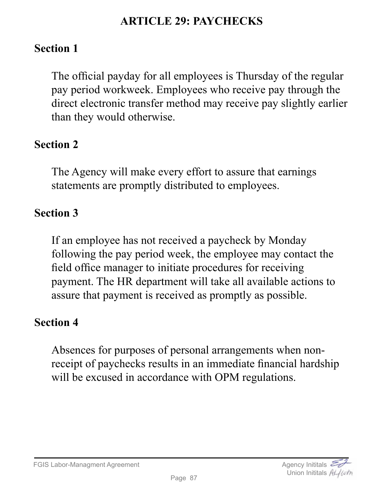## **ARTICLE 29: PAYCHECKS**

### **Section 1**

The official payday for all employees is Thursday of the regular pay period workweek. Employees who receive pay through the direct electronic transfer method may receive pay slightly earlier than they would otherwise.

## **Section 2**

The Agency will make every effort to assure that earnings statements are promptly distributed to employees.

## **Section 3**

If an employee has not received a paycheck by Monday following the pay period week, the employee may contact the field office manager to initiate procedures for receiving payment. The HR department will take all available actions to assure that payment is received as promptly as possible.

#### **Section 4**

Absences for purposes of personal arrangements when nonreceipt of paychecks results in an immediate financial hardship will be excused in accordance with OPM regulations.

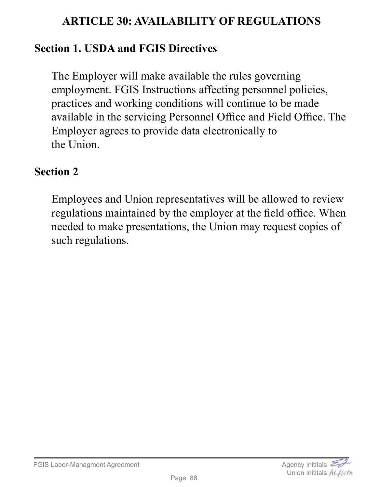## **ARTICLE 30: AVAILABILITY OF REGULATIONS**

## **Section 1. USDA and FGIS Directives**

The Employer will make available the rules governing employment. FGIS Instructions affecting personnel policies, practices and working conditions will continue to be made available in the servicing Personnel Office and Field Office. The Employer agrees to provide data electronically to the Union.

#### **Section 2**

Employees and Union representatives will be allowed to review regulations maintained by the employer at the field office. When needed to make presentations, the Union may request copies of such regulations.

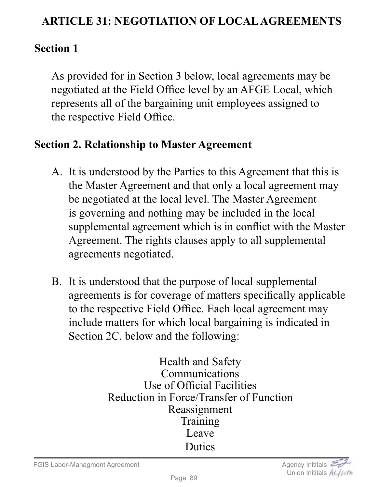## **ARTICLE 31: NEGOTIATION OF LOCAL AGREEMENTS**

## **Section 1**

As provided for in Section 3 below, local agreements may be negotiated at the Field Office level by an AFGE Local, which represents all of the bargaining unit employees assigned to the respective Field Office.

#### **Section 2. Relationship to Master Agreement**

- A. It is understood by the Parties to this Agreement that this is the Master Agreement and that only a local agreement may be negotiated at the local level. The Master Agreement is governing and nothing may be included in the local supplemental agreement which is in conflict with the Master Agreement. The rights clauses apply to all supplemental agreements negotiated.
- B. It is understood that the purpose of local supplemental agreements is for coverage of matters specifically applicable to the respective Field Office. Each local agreement may include matters for which local bargaining is indicated in Section 2C. below and the following:

Health and Safety Communications Use of Official Facilities Reduction in Force/Transfer of Function Reassignment Training Leave Duties

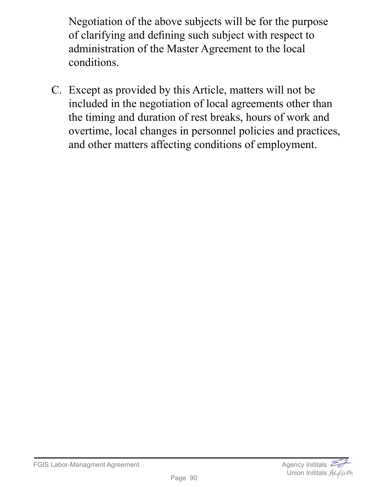Negotiation of the above subjects will be for the purpose of clarifying and defining such subject with respect to administration of the Master Agreement to the local conditions.

C. Except as provided by this Article, matters will not be included in the negotiation of local agreements other than the timing and duration of rest breaks, hours of work and overtime, local changes in personnel policies and practices, and other matters affecting conditions of employment.

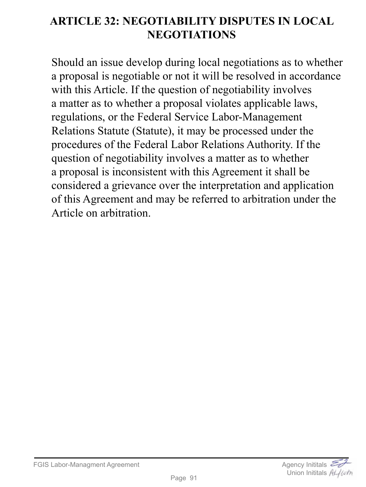# **ARTICLE 32: NEGOTIABILITY DISPUTES IN LOCAL NEGOTIATIONS**

Should an issue develop during local negotiations as to whether a proposal is negotiable or not it will be resolved in accordance with this Article. If the question of negotiability involves a matter as to whether a proposal violates applicable laws, regulations, or the Federal Service Labor-Management Relations Statute (Statute), it may be processed under the procedures of the Federal Labor Relations Authority. If the question of negotiability involves a matter as to whether a proposal is inconsistent with this Agreement it shall be considered a grievance over the interpretation and application of this Agreement and may be referred to arbitration under the Article on arbitration.

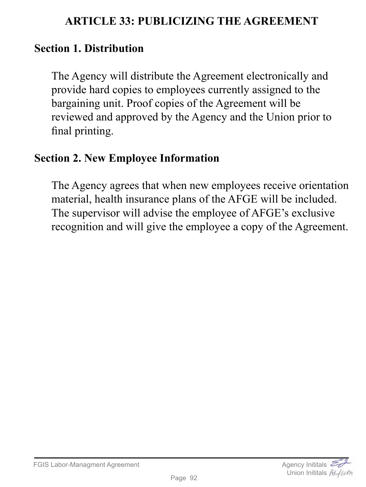## **ARTICLE 33: PUBLICIZING THE AGREEMENT**

#### **Section 1. Distribution**

The Agency will distribute the Agreement electronically and provide hard copies to employees currently assigned to the bargaining unit. Proof copies of the Agreement will be reviewed and approved by the Agency and the Union prior to final printing.

#### **Section 2. New Employee Information**

The Agency agrees that when new employees receive orientation material, health insurance plans of the AFGE will be included. The supervisor will advise the employee of AFGE's exclusive recognition and will give the employee a copy of the Agreement.

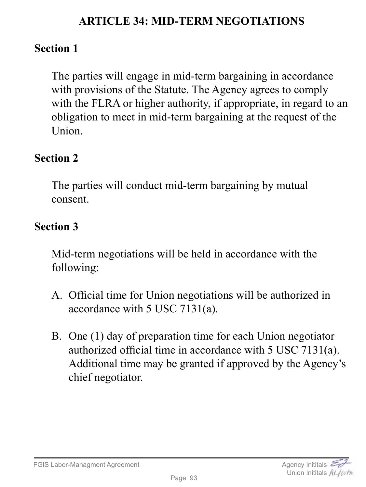## **ARTICLE 34: MID-TERM NEGOTIATIONS**

### **Section 1**

The parties will engage in mid-term bargaining in accordance with provisions of the Statute. The Agency agrees to comply with the FLRA or higher authority, if appropriate, in regard to an obligation to meet in mid-term bargaining at the request of the Union.

#### **Section 2**

The parties will conduct mid-term bargaining by mutual consent.

## **Section 3**

Mid-term negotiations will be held in accordance with the following:

- A. Official time for Union negotiations will be authorized in accordance with 5 USC 7131(a).
- B. One (1) day of preparation time for each Union negotiator authorized official time in accordance with 5 USC 7131(a). Additional time may be granted if approved by the Agency's chief negotiator.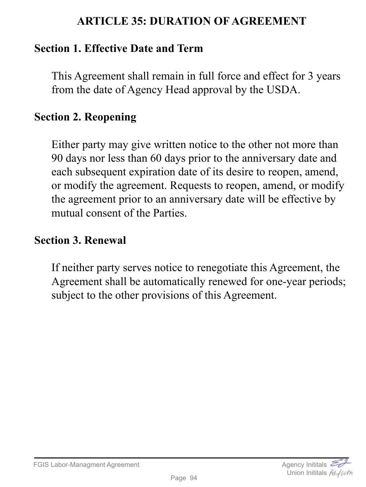### **ARTICLE 35: DURATION OF AGREEMENT**

## **Section 1. Effective Date and Term**

This Agreement shall remain in full force and effect for 3 years from the date of Agency Head approval by the USDA.

#### **Section 2. Reopening**

Either party may give written notice to the other not more than 90 days nor less than 60 days prior to the anniversary date and each subsequent expiration date of its desire to reopen, amend, or modify the agreement. Requests to reopen, amend, or modify the agreement prior to an anniversary date will be effective by mutual consent of the Parties.

#### **Section 3. Renewal**

If neither party serves notice to renegotiate this Agreement, the Agreement shall be automatically renewed for one-year periods; subject to the other provisions of this Agreement.

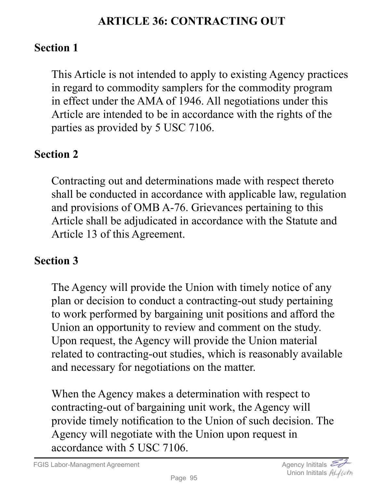## **ARTICLE 36: CONTRACTING OUT**

## **Section 1**

This Article is not intended to apply to existing Agency practices in regard to commodity samplers for the commodity program in effect under the AMA of 1946. All negotiations under this Article are intended to be in accordance with the rights of the parties as provided by 5 USC 7106.

# **Section 2**

Contracting out and determinations made with respect thereto shall be conducted in accordance with applicable law, regulation and provisions of OMB A-76. Grievances pertaining to this Article shall be adjudicated in accordance with the Statute and Article 13 of this Agreement.

## **Section 3**

The Agency will provide the Union with timely notice of any plan or decision to conduct a contracting-out study pertaining to work performed by bargaining unit positions and afford the Union an opportunity to review and comment on the study. Upon request, the Agency will provide the Union material related to contracting-out studies, which is reasonably available and necessary for negotiations on the matter.

When the Agency makes a determination with respect to contracting-out of bargaining unit work, the Agency will provide timely notification to the Union of such decision. The Agency will negotiate with the Union upon request in accordance with 5 USC 7106.

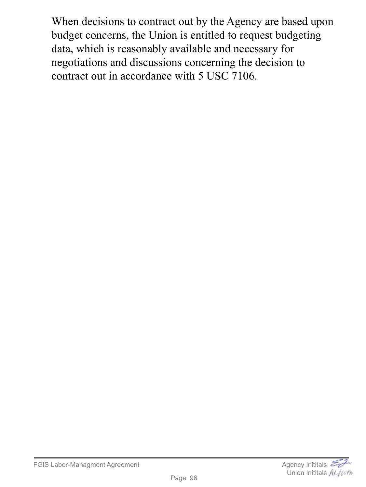When decisions to contract out by the Agency are based upon budget concerns, the Union is entitled to request budgeting data, which is reasonably available and necessary for negotiations and discussions concerning the decision to contract out in accordance with 5 USC 7106.

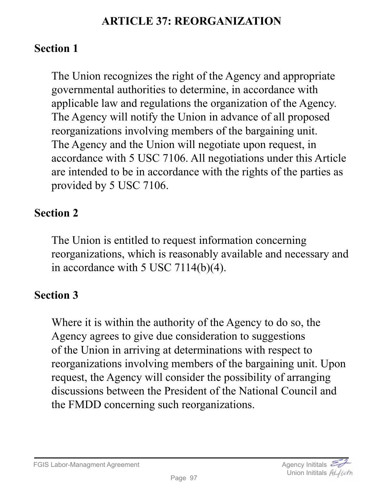## **ARTICLE 37: REORGANIZATION**

## **Section 1**

The Union recognizes the right of the Agency and appropriate governmental authorities to determine, in accordance with applicable law and regulations the organization of the Agency. The Agency will notify the Union in advance of all proposed reorganizations involving members of the bargaining unit. The Agency and the Union will negotiate upon request, in accordance with 5 USC 7106. All negotiations under this Article are intended to be in accordance with the rights of the parties as provided by 5 USC 7106.

# **Section 2**

The Union is entitled to request information concerning reorganizations, which is reasonably available and necessary and in accordance with 5 USC 7114(b)(4).

## **Section 3**

Where it is within the authority of the Agency to do so, the Agency agrees to give due consideration to suggestions of the Union in arriving at determinations with respect to reorganizations involving members of the bargaining unit. Upon request, the Agency will consider the possibility of arranging discussions between the President of the National Council and the FMDD concerning such reorganizations.

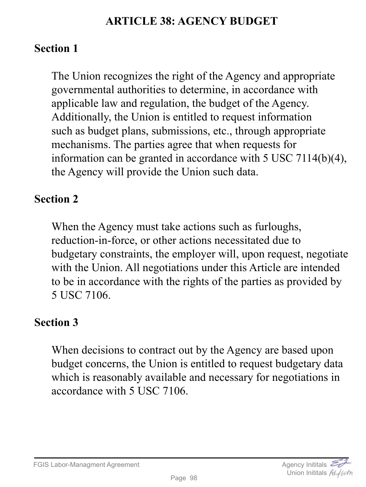## **ARTICLE 38: AGENCY BUDGET**

## **Section 1**

The Union recognizes the right of the Agency and appropriate governmental authorities to determine, in accordance with applicable law and regulation, the budget of the Agency. Additionally, the Union is entitled to request information such as budget plans, submissions, etc., through appropriate mechanisms. The parties agree that when requests for information can be granted in accordance with 5 USC 7114(b)(4), the Agency will provide the Union such data.

#### **Section 2**

When the Agency must take actions such as furloughs, reduction-in-force, or other actions necessitated due to budgetary constraints, the employer will, upon request, negotiate with the Union. All negotiations under this Article are intended to be in accordance with the rights of the parties as provided by 5 USC 7106.

#### **Section 3**

When decisions to contract out by the Agency are based upon budget concerns, the Union is entitled to request budgetary data which is reasonably available and necessary for negotiations in accordance with 5 USC 7106.

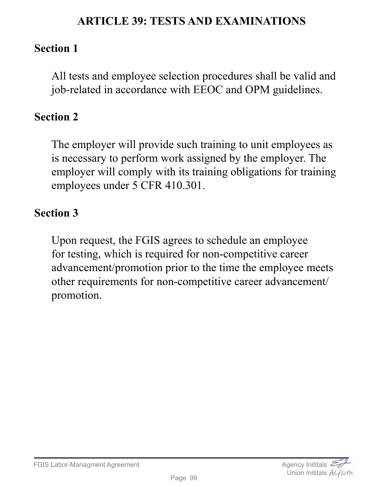## **ARTICLE 39: TESTS AND EXAMINATIONS**

## **Section 1**

All tests and employee selection procedures shall be valid and job-related in accordance with EEOC and OPM guidelines.

## **Section 2**

The employer will provide such training to unit employees as is necessary to perform work assigned by the employer. The employer will comply with its training obligations for training employees under 5 CFR 410.301.

## **Section 3**

Upon request, the FGIS agrees to schedule an employee for testing, which is required for non-competitive career advancement/promotion prior to the time the employee meets other requirements for non-competitive career advancement/ promotion.

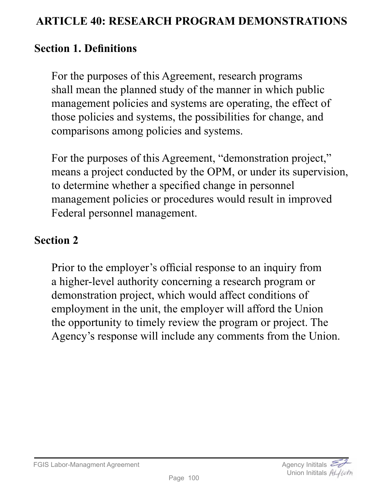## **ARTICLE 40: RESEARCH PROGRAM DEMONSTRATIONS**

## **Section 1. Definitions**

For the purposes of this Agreement, research programs shall mean the planned study of the manner in which public management policies and systems are operating, the effect of those policies and systems, the possibilities for change, and comparisons among policies and systems.

For the purposes of this Agreement, "demonstration project," means a project conducted by the OPM, or under its supervision, to determine whether a specified change in personnel management policies or procedures would result in improved Federal personnel management.

## **Section 2**

Prior to the employer's official response to an inquiry from a higher-level authority concerning a research program or demonstration project, which would affect conditions of employment in the unit, the employer will afford the Union the opportunity to timely review the program or project. The Agency's response will include any comments from the Union.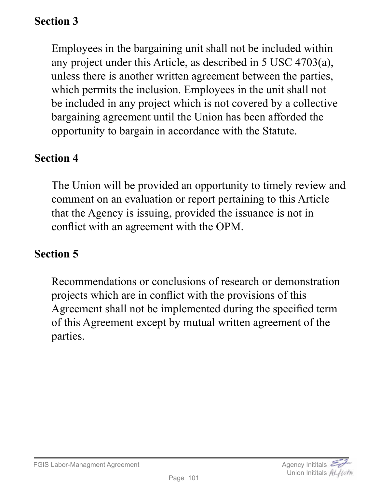# **Section 3**

Employees in the bargaining unit shall not be included within any project under this Article, as described in 5 USC 4703(a), unless there is another written agreement between the parties, which permits the inclusion. Employees in the unit shall not be included in any project which is not covered by a collective bargaining agreement until the Union has been afforded the opportunity to bargain in accordance with the Statute.

#### **Section 4**

The Union will be provided an opportunity to timely review and comment on an evaluation or report pertaining to this Article that the Agency is issuing, provided the issuance is not in conflict with an agreement with the OPM.

## **Section 5**

Recommendations or conclusions of research or demonstration projects which are in conflict with the provisions of this Agreement shall not be implemented during the specified term of this Agreement except by mutual written agreement of the parties.

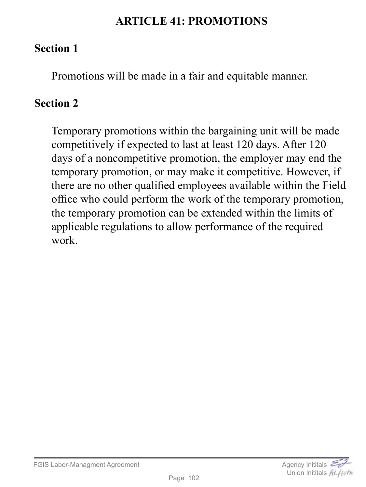## **ARTICLE 41: PROMOTIONS**

## **Section 1**

Promotions will be made in a fair and equitable manner.

# **Section 2**

Temporary promotions within the bargaining unit will be made competitively if expected to last at least 120 days. After 120 days of a noncompetitive promotion, the employer may end the temporary promotion, or may make it competitive. However, if there are no other qualified employees available within the Field office who could perform the work of the temporary promotion, the temporary promotion can be extended within the limits of applicable regulations to allow performance of the required work.